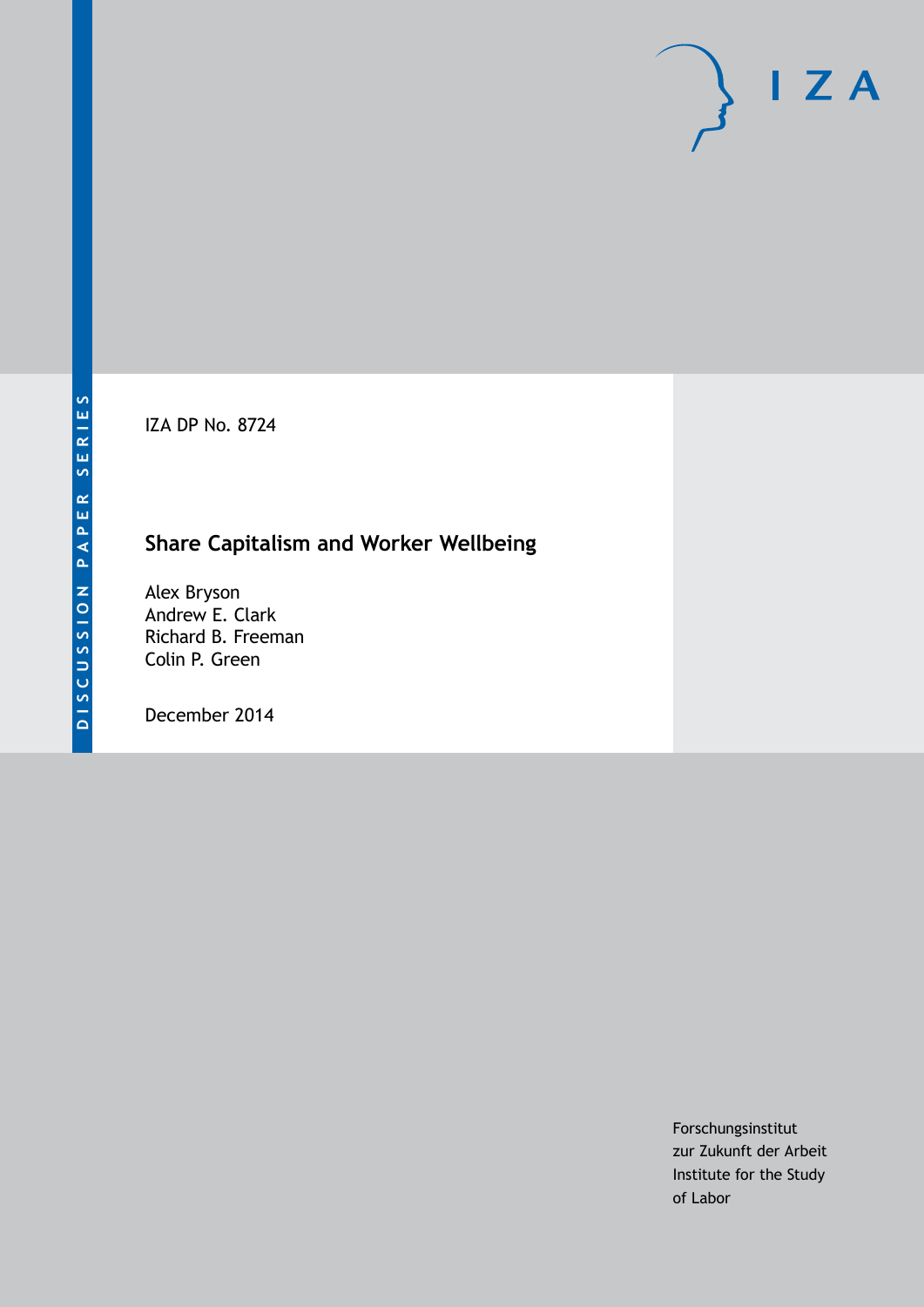IZA DP No. 8724

# **Share Capitalism and Worker Wellbeing**

Alex Bryson Andrew E. Clark Richard B. Freeman Colin P. Green

December 2014

Forschungsinstitut zur Zukunft der Arbeit Institute for the Study of Labor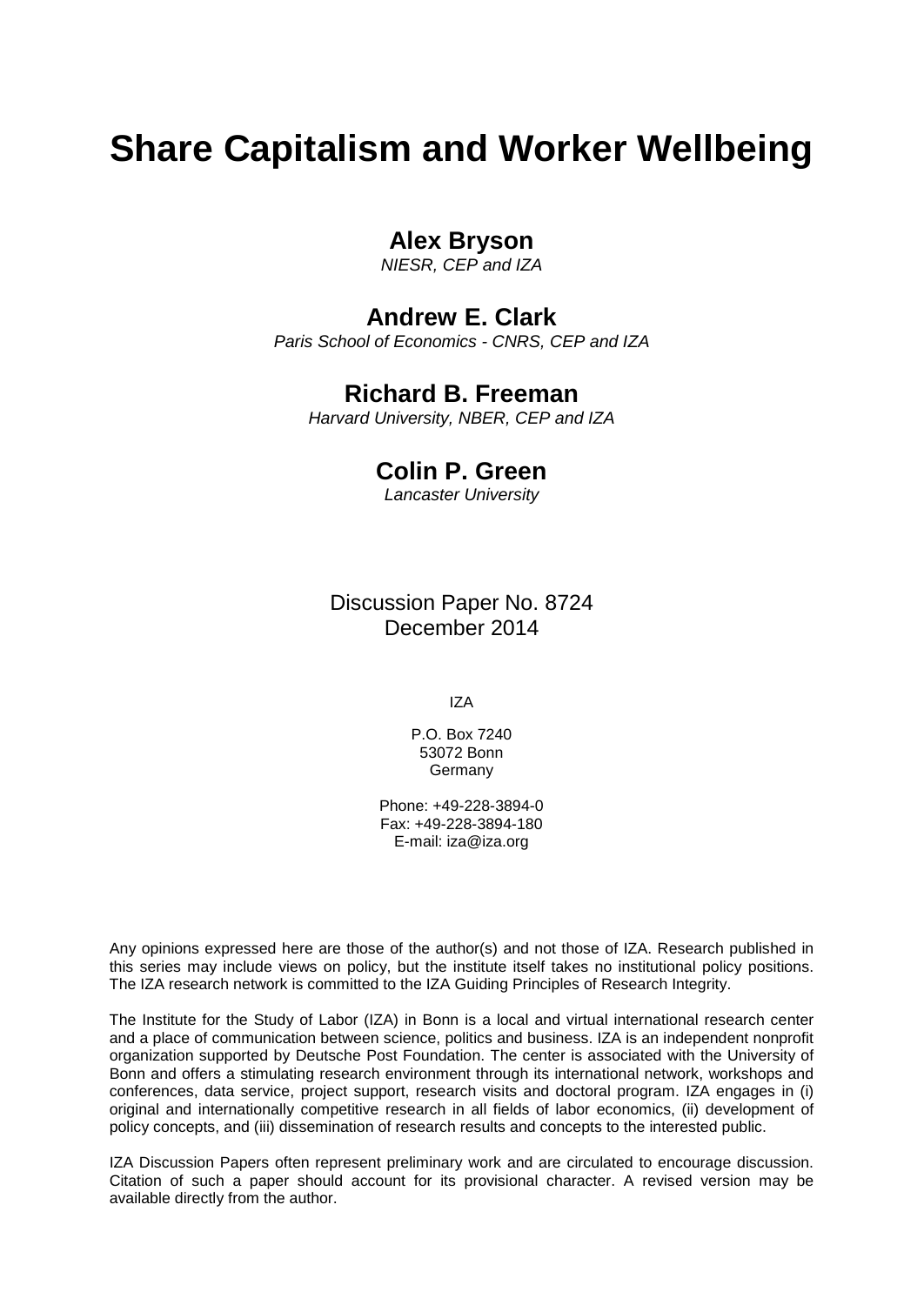# **Share Capitalism and Worker Wellbeing**

## **Alex Bryson**

*NIESR, CEP and IZA*

# **Andrew E. Clark**

*Paris School of Economics - CNRS, CEP and IZA*

## **Richard B. Freeman**

*Harvard University, NBER, CEP and IZA*

## **Colin P. Green**

*Lancaster University*

Discussion Paper No. 8724 December 2014

IZA

P.O. Box 7240 53072 Bonn **Germany** 

Phone: +49-228-3894-0 Fax: +49-228-3894-180 E-mail: [iza@iza.org](mailto:iza@iza.org)

Any opinions expressed here are those of the author(s) and not those of IZA. Research published in this series may include views on policy, but the institute itself takes no institutional policy positions. The IZA research network is committed to the IZA Guiding Principles of Research Integrity.

The Institute for the Study of Labor (IZA) in Bonn is a local and virtual international research center and a place of communication between science, politics and business. IZA is an independent nonprofit organization supported by Deutsche Post Foundation. The center is associated with the University of Bonn and offers a stimulating research environment through its international network, workshops and conferences, data service, project support, research visits and doctoral program. IZA engages in (i) original and internationally competitive research in all fields of labor economics, (ii) development of policy concepts, and (iii) dissemination of research results and concepts to the interested public.

<span id="page-1-0"></span>IZA Discussion Papers often represent preliminary work and are circulated to encourage discussion. Citation of such a paper should account for its provisional character. A revised version may be available directly from the author.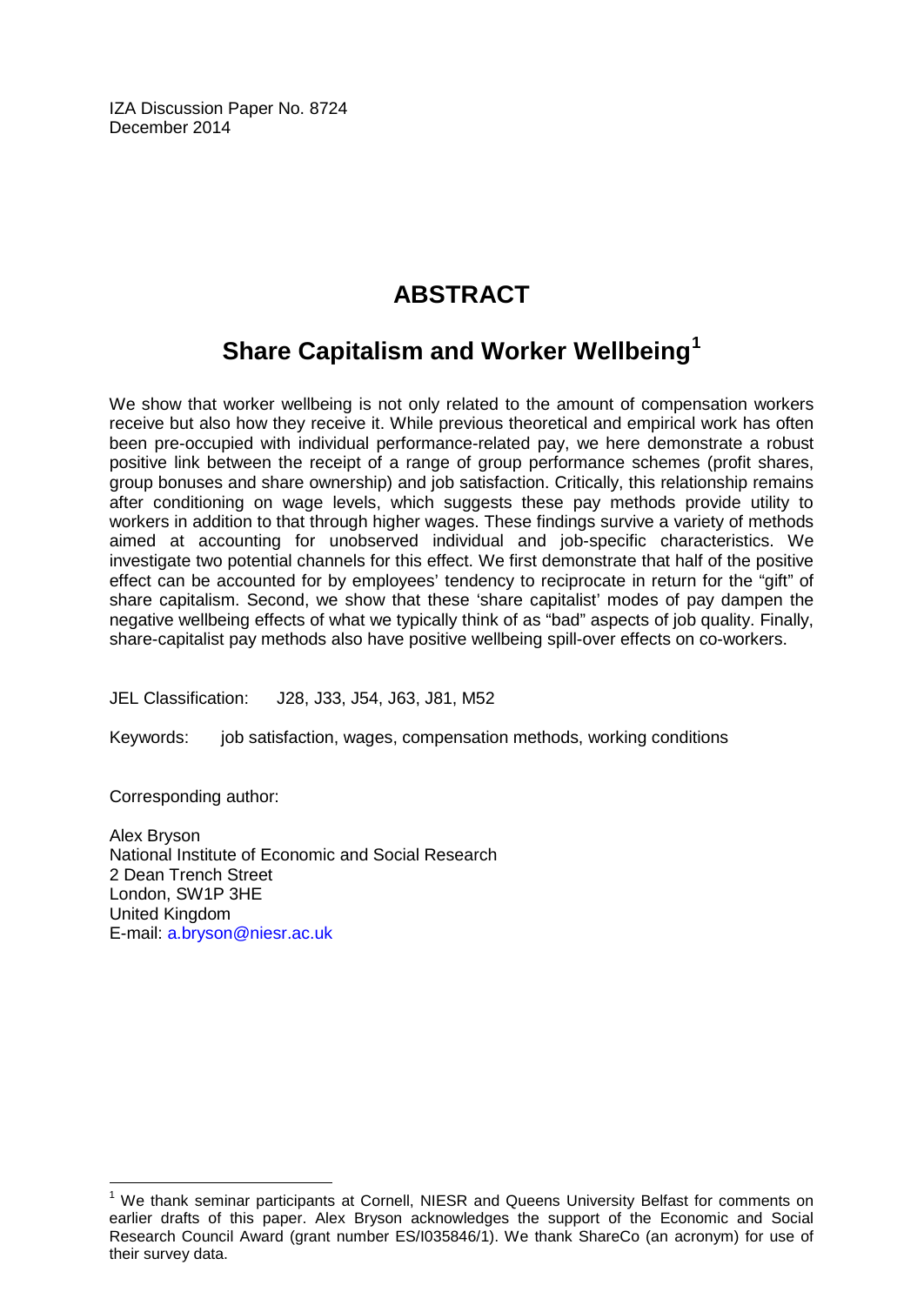IZA Discussion Paper No. 8724 December 2014

# **ABSTRACT**

# **Share Capitalism and Worker Wellbeing[1](#page-1-0)**

We show that worker wellbeing is not only related to the amount of compensation workers receive but also how they receive it. While previous theoretical and empirical work has often been pre-occupied with individual performance-related pay, we here demonstrate a robust positive link between the receipt of a range of group performance schemes (profit shares, group bonuses and share ownership) and job satisfaction. Critically, this relationship remains after conditioning on wage levels, which suggests these pay methods provide utility to workers in addition to that through higher wages. These findings survive a variety of methods aimed at accounting for unobserved individual and job-specific characteristics. We investigate two potential channels for this effect. We first demonstrate that half of the positive effect can be accounted for by employees' tendency to reciprocate in return for the "gift" of share capitalism. Second, we show that these 'share capitalist' modes of pay dampen the negative wellbeing effects of what we typically think of as "bad" aspects of job quality. Finally, share-capitalist pay methods also have positive wellbeing spill-over effects on co-workers.

JEL Classification: J28, J33, J54, J63, J81, M52

Keywords: job satisfaction, wages, compensation methods, working conditions

Corresponding author:

Alex Bryson National Institute of Economic and Social Research 2 Dean Trench Street London, SW1P 3HE United Kingdom E-mail: [a.bryson@niesr.ac.uk](mailto:a.bryson@niesr.ac.uk)

 $1$  We thank seminar participants at Cornell, NIESR and Queens University Belfast for comments on earlier drafts of this paper. Alex Bryson acknowledges the support of the Economic and Social Research Council Award (grant number ES/I035846/1). We thank ShareCo (an acronym) for use of their survey data.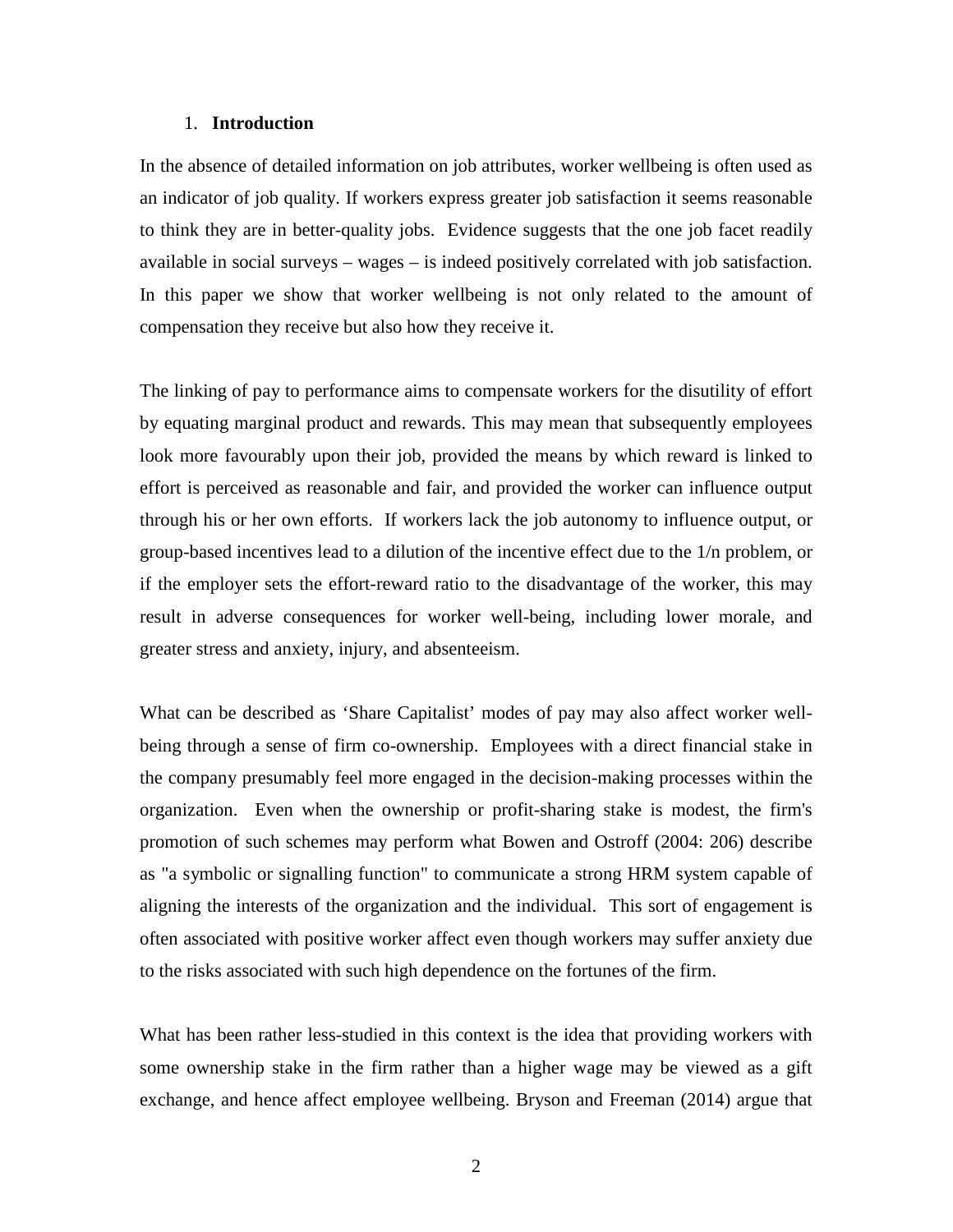#### 1. **Introduction**

In the absence of detailed information on job attributes, worker wellbeing is often used as an indicator of job quality. If workers express greater job satisfaction it seems reasonable to think they are in better-quality jobs. Evidence suggests that the one job facet readily available in social surveys – wages – is indeed positively correlated with job satisfaction. In this paper we show that worker wellbeing is not only related to the amount of compensation they receive but also how they receive it.

The linking of pay to performance aims to compensate workers for the disutility of effort by equating marginal product and rewards. This may mean that subsequently employees look more favourably upon their job, provided the means by which reward is linked to effort is perceived as reasonable and fair, and provided the worker can influence output through his or her own efforts. If workers lack the job autonomy to influence output, or group-based incentives lead to a dilution of the incentive effect due to the 1/n problem, or if the employer sets the effort-reward ratio to the disadvantage of the worker, this may result in adverse consequences for worker well-being, including lower morale, and greater stress and anxiety, injury, and absenteeism.

What can be described as 'Share Capitalist' modes of pay may also affect worker wellbeing through a sense of firm co-ownership. Employees with a direct financial stake in the company presumably feel more engaged in the decision-making processes within the organization. Even when the ownership or profit-sharing stake is modest, the firm's promotion of such schemes may perform what Bowen and Ostroff (2004: 206) describe as "a symbolic or signalling function" to communicate a strong HRM system capable of aligning the interests of the organization and the individual. This sort of engagement is often associated with positive worker affect even though workers may suffer anxiety due to the risks associated with such high dependence on the fortunes of the firm.

What has been rather less-studied in this context is the idea that providing workers with some ownership stake in the firm rather than a higher wage may be viewed as a gift exchange, and hence affect employee wellbeing. Bryson and Freeman (2014) argue that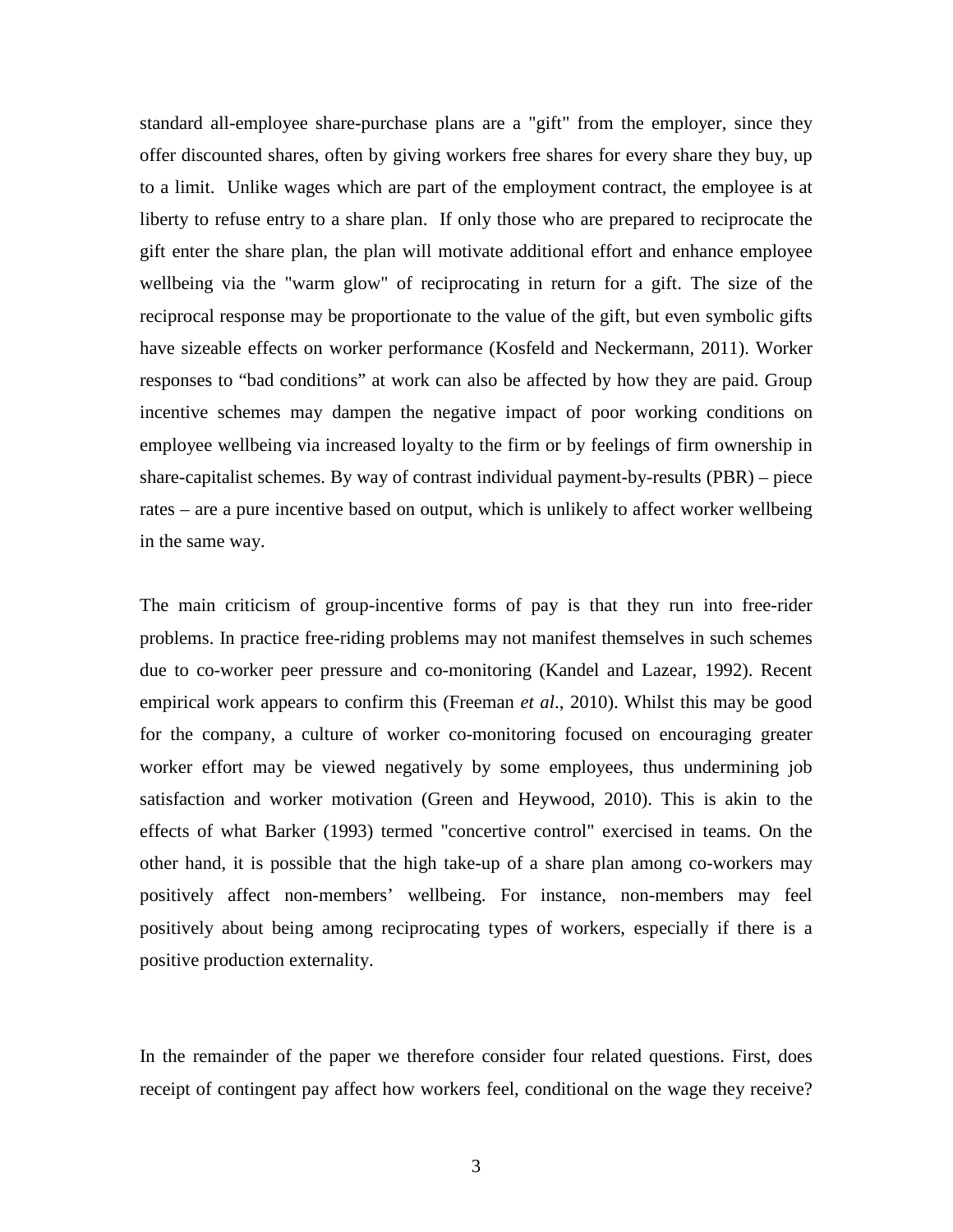standard all-employee share-purchase plans are a "gift" from the employer, since they offer discounted shares, often by giving workers free shares for every share they buy, up to a limit. Unlike wages which are part of the employment contract, the employee is at liberty to refuse entry to a share plan. If only those who are prepared to reciprocate the gift enter the share plan, the plan will motivate additional effort and enhance employee wellbeing via the "warm glow" of reciprocating in return for a gift. The size of the reciprocal response may be proportionate to the value of the gift, but even symbolic gifts have sizeable effects on worker performance (Kosfeld and Neckermann, 2011). Worker responses to "bad conditions" at work can also be affected by how they are paid. Group incentive schemes may dampen the negative impact of poor working conditions on employee wellbeing via increased loyalty to the firm or by feelings of firm ownership in share-capitalist schemes. By way of contrast individual payment-by-results (PBR) – piece rates – are a pure incentive based on output, which is unlikely to affect worker wellbeing in the same way.

The main criticism of group-incentive forms of pay is that they run into free-rider problems. In practice free-riding problems may not manifest themselves in such schemes due to co-worker peer pressure and co-monitoring (Kandel and Lazear, 1992). Recent empirical work appears to confirm this (Freeman *et al*., 2010). Whilst this may be good for the company, a culture of worker co-monitoring focused on encouraging greater worker effort may be viewed negatively by some employees, thus undermining job satisfaction and worker motivation (Green and Heywood, 2010). This is akin to the effects of what Barker (1993) termed "concertive control" exercised in teams. On the other hand, it is possible that the high take-up of a share plan among co-workers may positively affect non-members' wellbeing. For instance, non-members may feel positively about being among reciprocating types of workers, especially if there is a positive production externality.

In the remainder of the paper we therefore consider four related questions. First, does receipt of contingent pay affect how workers feel, conditional on the wage they receive?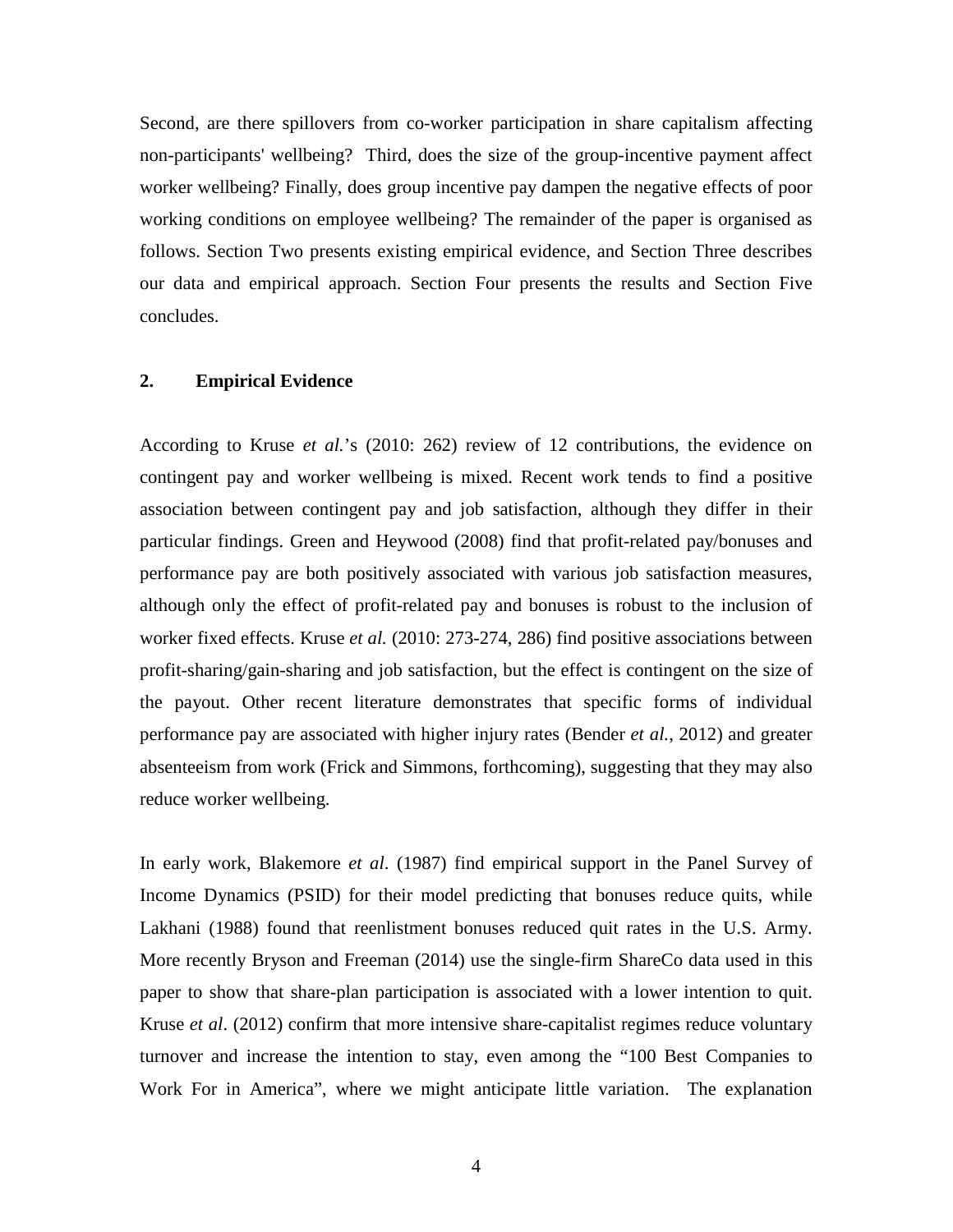Second, are there spillovers from co-worker participation in share capitalism affecting non-participants' wellbeing? Third, does the size of the group-incentive payment affect worker wellbeing? Finally, does group incentive pay dampen the negative effects of poor working conditions on employee wellbeing? The remainder of the paper is organised as follows. Section Two presents existing empirical evidence, and Section Three describes our data and empirical approach. Section Four presents the results and Section Five concludes.

#### **2. Empirical Evidence**

According to Kruse *et al.*'s (2010: 262) review of 12 contributions, the evidence on contingent pay and worker wellbeing is mixed. Recent work tends to find a positive association between contingent pay and job satisfaction, although they differ in their particular findings. Green and Heywood (2008) find that profit-related pay/bonuses and performance pay are both positively associated with various job satisfaction measures, although only the effect of profit-related pay and bonuses is robust to the inclusion of worker fixed effects. Kruse *et al.* (2010: 273-274, 286) find positive associations between profit-sharing/gain-sharing and job satisfaction, but the effect is contingent on the size of the payout. Other recent literature demonstrates that specific forms of individual performance pay are associated with higher injury rates (Bender *et al.*, 2012) and greater absenteeism from work (Frick and Simmons, forthcoming), suggesting that they may also reduce worker wellbeing.

In early work, Blakemore *et al*. (1987) find empirical support in the Panel Survey of Income Dynamics (PSID) for their model predicting that bonuses reduce quits, while Lakhani (1988) found that reenlistment bonuses reduced quit rates in the U.S. Army. More recently Bryson and Freeman (2014) use the single-firm ShareCo data used in this paper to show that share-plan participation is associated with a lower intention to quit. Kruse *et al*. (2012) confirm that more intensive share-capitalist regimes reduce voluntary turnover and increase the intention to stay, even among the "100 Best Companies to Work For in America", where we might anticipate little variation. The explanation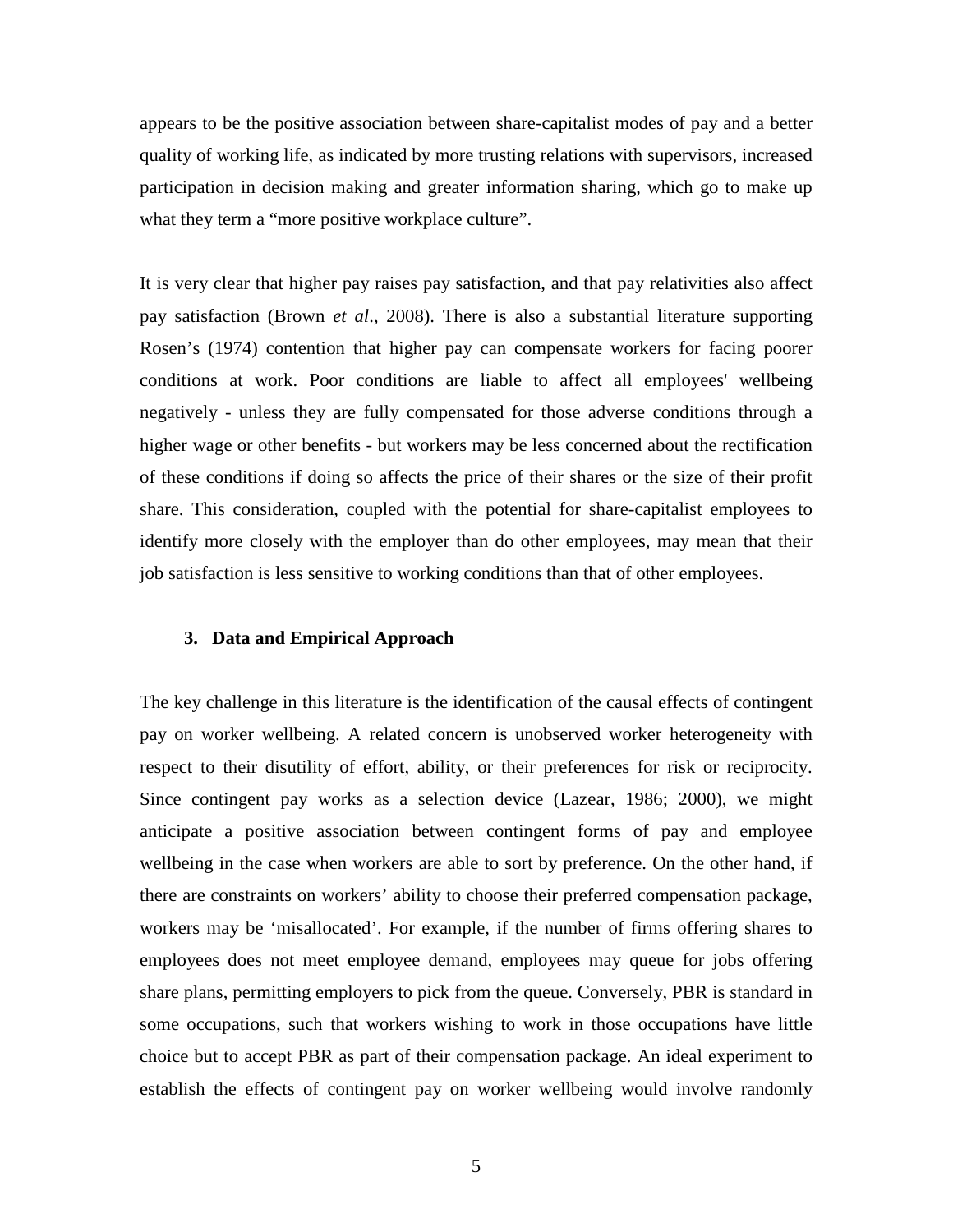appears to be the positive association between share-capitalist modes of pay and a better quality of working life, as indicated by more trusting relations with supervisors, increased participation in decision making and greater information sharing, which go to make up what they term a "more positive workplace culture".

It is very clear that higher pay raises pay satisfaction, and that pay relativities also affect pay satisfaction (Brown *et al*., 2008). There is also a substantial literature supporting Rosen's (1974) contention that higher pay can compensate workers for facing poorer conditions at work. Poor conditions are liable to affect all employees' wellbeing negatively - unless they are fully compensated for those adverse conditions through a higher wage or other benefits - but workers may be less concerned about the rectification of these conditions if doing so affects the price of their shares or the size of their profit share. This consideration, coupled with the potential for share-capitalist employees to identify more closely with the employer than do other employees, may mean that their job satisfaction is less sensitive to working conditions than that of other employees.

#### **3. Data and Empirical Approach**

The key challenge in this literature is the identification of the causal effects of contingent pay on worker wellbeing. A related concern is unobserved worker heterogeneity with respect to their disutility of effort, ability, or their preferences for risk or reciprocity. Since contingent pay works as a selection device (Lazear, 1986; 2000), we might anticipate a positive association between contingent forms of pay and employee wellbeing in the case when workers are able to sort by preference. On the other hand, if there are constraints on workers' ability to choose their preferred compensation package, workers may be 'misallocated'. For example, if the number of firms offering shares to employees does not meet employee demand, employees may queue for jobs offering share plans, permitting employers to pick from the queue. Conversely, PBR is standard in some occupations, such that workers wishing to work in those occupations have little choice but to accept PBR as part of their compensation package. An ideal experiment to establish the effects of contingent pay on worker wellbeing would involve randomly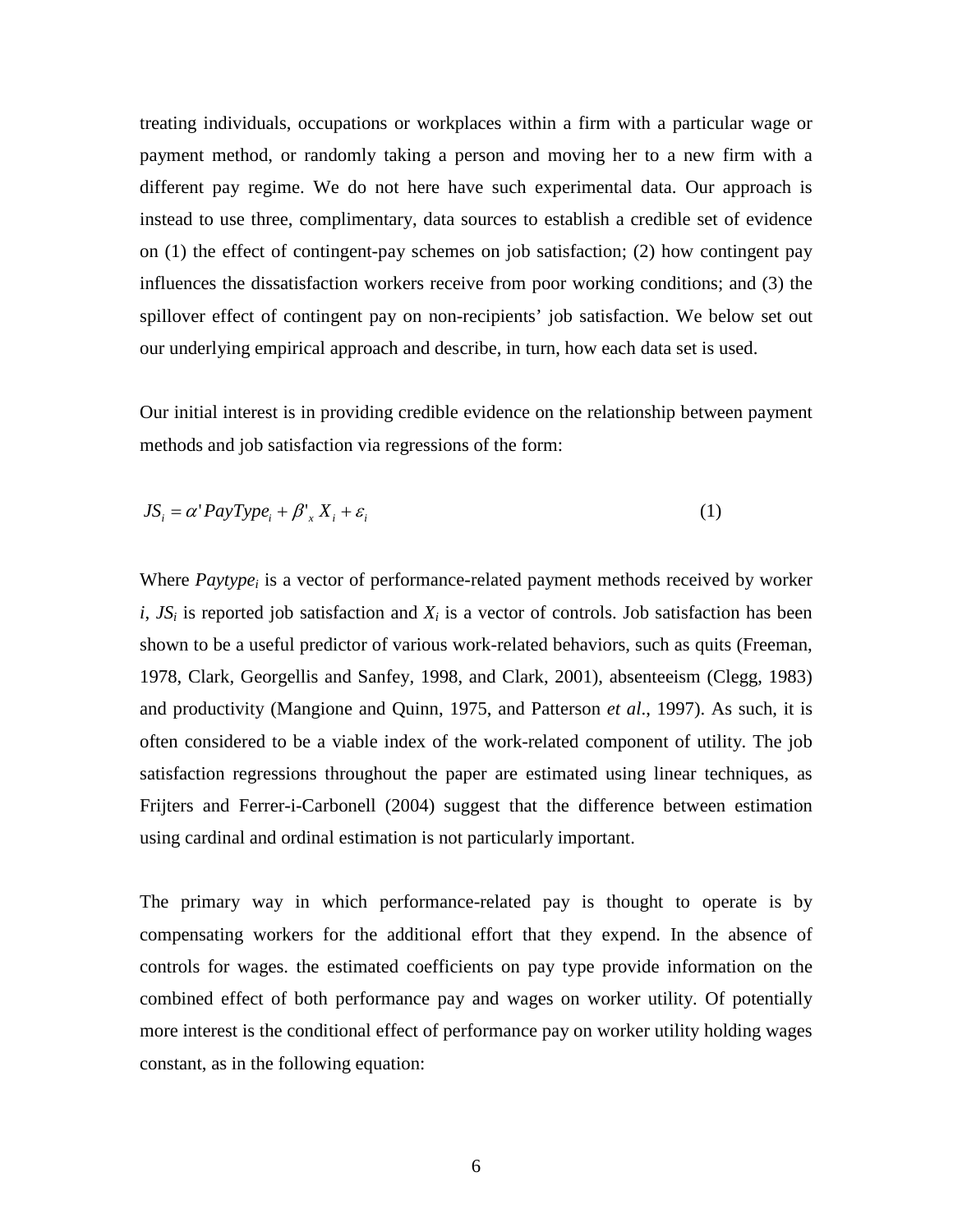treating individuals, occupations or workplaces within a firm with a particular wage or payment method, or randomly taking a person and moving her to a new firm with a different pay regime. We do not here have such experimental data. Our approach is instead to use three, complimentary, data sources to establish a credible set of evidence on (1) the effect of contingent-pay schemes on job satisfaction; (2) how contingent pay influences the dissatisfaction workers receive from poor working conditions; and (3) the spillover effect of contingent pay on non-recipients' job satisfaction. We below set out our underlying empirical approach and describe, in turn, how each data set is used.

Our initial interest is in providing credible evidence on the relationship between payment methods and job satisfaction via regressions of the form:

$$
JS_i = \alpha' PayType_i + \beta'_x X_i + \varepsilon_i
$$
 (1)

Where  $Paytype<sub>i</sub>$  is a vector of performance-related payment methods received by worker  $i$ ,  $JS_i$  is reported job satisfaction and  $X_i$  is a vector of controls. Job satisfaction has been shown to be a useful predictor of various work-related behaviors, such as quits (Freeman, 1978, Clark, Georgellis and Sanfey, 1998, and Clark, 2001), absenteeism (Clegg, 1983) and productivity (Mangione and Quinn, 1975, and Patterson *et al*., 1997). As such, it is often considered to be a viable index of the work-related component of utility. The job satisfaction regressions throughout the paper are estimated using linear techniques, as Frijters and Ferrer-i-Carbonell (2004) suggest that the difference between estimation using cardinal and ordinal estimation is not particularly important.

The primary way in which performance-related pay is thought to operate is by compensating workers for the additional effort that they expend. In the absence of controls for wages. the estimated coefficients on pay type provide information on the combined effect of both performance pay and wages on worker utility. Of potentially more interest is the conditional effect of performance pay on worker utility holding wages constant, as in the following equation: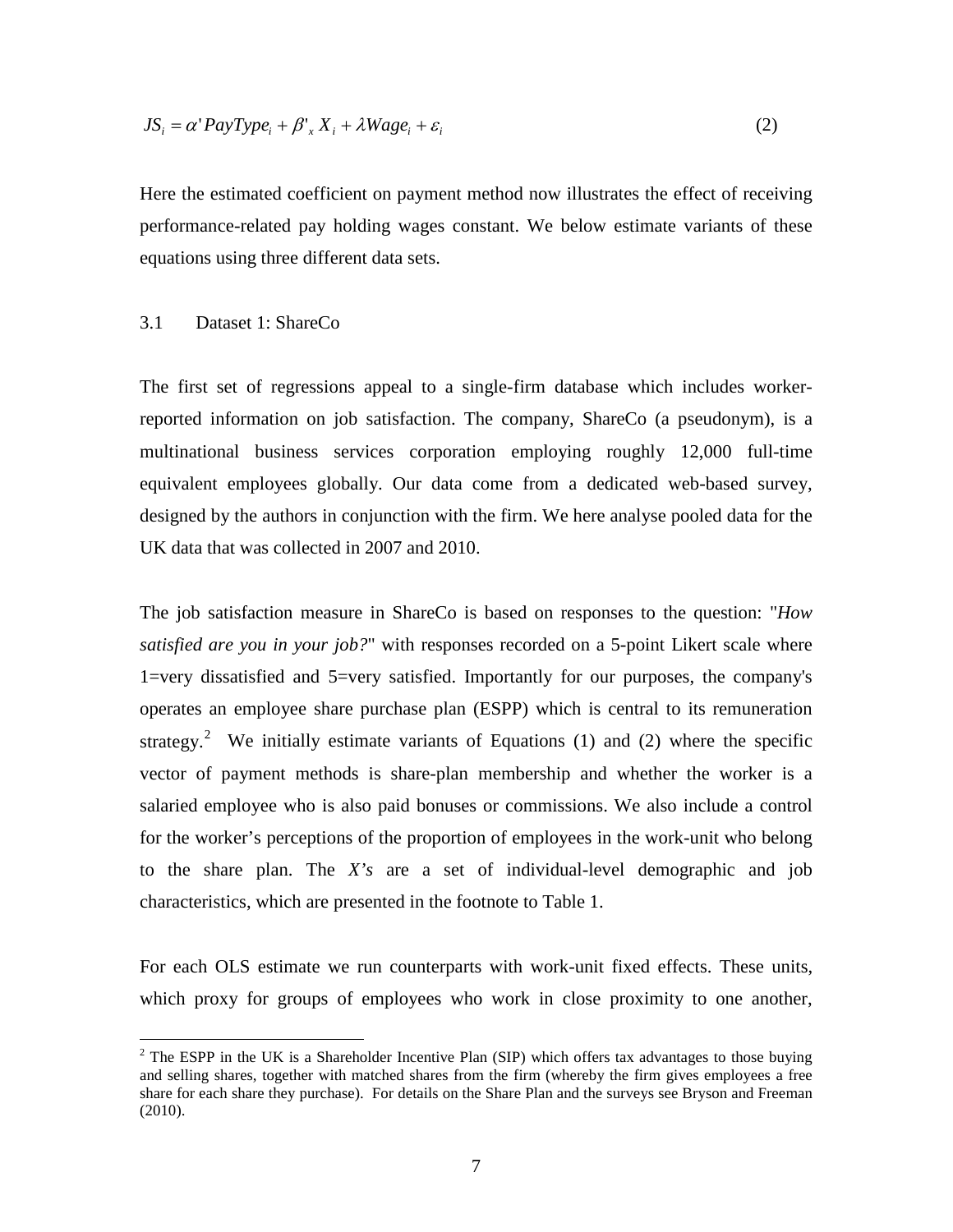$$
JS_i = \alpha' PayType_i + \beta'_x X_i + \lambda Wage_i + \varepsilon_i
$$
\n(2)

Here the estimated coefficient on payment method now illustrates the effect of receiving performance-related pay holding wages constant. We below estimate variants of these equations using three different data sets.

#### 3.1 Dataset 1: ShareCo

The first set of regressions appeal to a single-firm database which includes workerreported information on job satisfaction. The company, ShareCo (a pseudonym), is a multinational business services corporation employing roughly 12,000 full-time equivalent employees globally. Our data come from a dedicated web-based survey, designed by the authors in conjunction with the firm. We here analyse pooled data for the UK data that was collected in 2007 and 2010.

The job satisfaction measure in ShareCo is based on responses to the question: "*How satisfied are you in your job?*" with responses recorded on a 5-point Likert scale where 1=very dissatisfied and 5=very satisfied. Importantly for our purposes, the company's operates an employee share purchase plan (ESPP) which is central to its remuneration strategy.<sup>2</sup> We initially estimate variants of Equations (1) and (2) where the specific vector of payment methods is share-plan membership and whether the worker is a salaried employee who is also paid bonuses or commissions. We also include a control for the worker's perceptions of the proportion of employees in the work-unit who belong to the share plan. The *X's* are a set of individual-level demographic and job characteristics, which are presented in the footnote to Table 1.

For each OLS estimate we run counterparts with work-unit fixed effects. These units, which proxy for groups of employees who work in close proximity to one another,

<span id="page-8-0"></span><sup>&</sup>lt;sup>2</sup> The ESPP in the UK is a Shareholder Incentive Plan (SIP) which offers tax advantages to those buying and selling shares, together with matched shares from the firm (whereby the firm gives employees a free share for each share they purchase). For details on the Share Plan and the surveys see Bryson and Freeman (2010).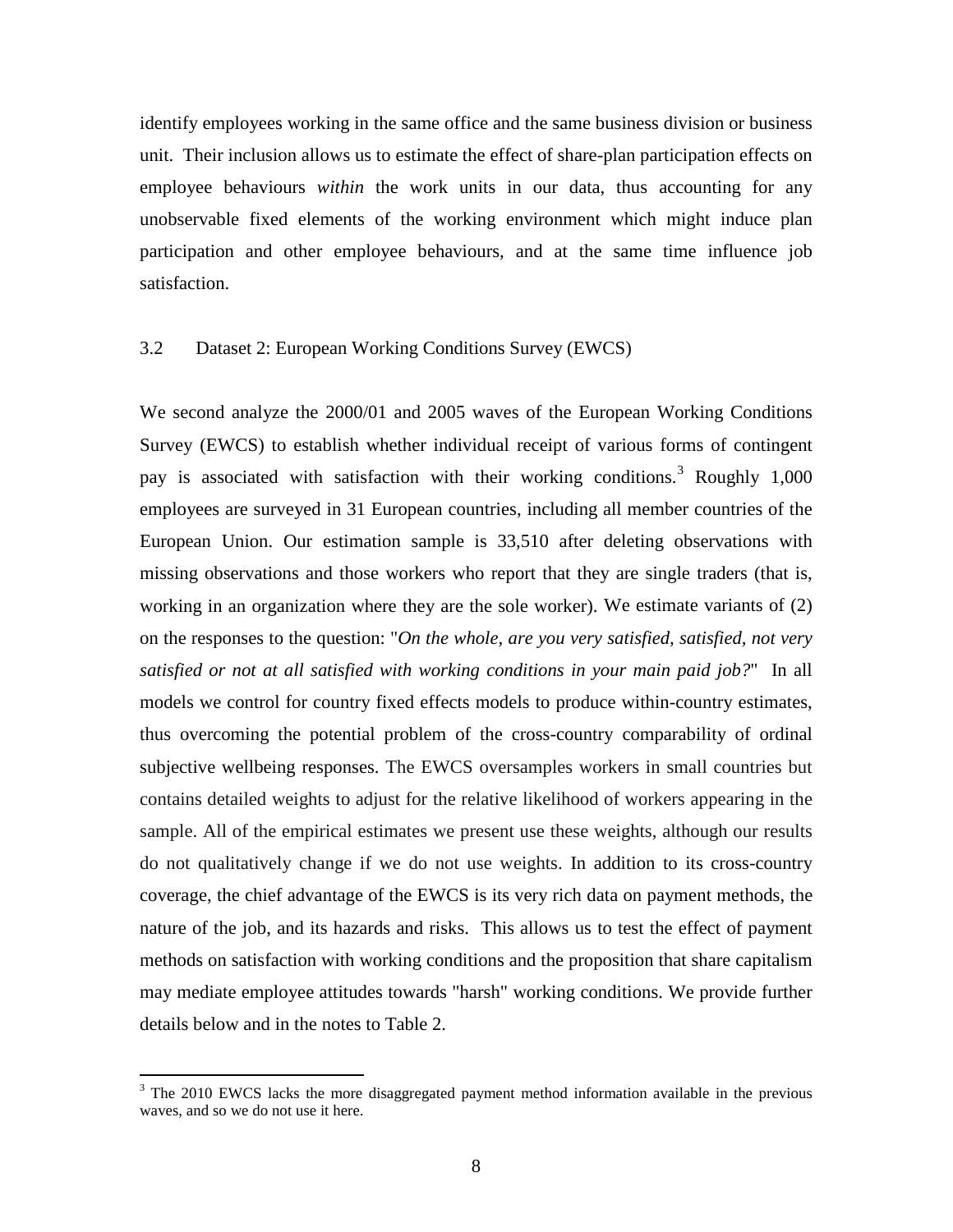identify employees working in the same office and the same business division or business unit. Their inclusion allows us to estimate the effect of share-plan participation effects on employee behaviours *within* the work units in our data, thus accounting for any unobservable fixed elements of the working environment which might induce plan participation and other employee behaviours, and at the same time influence job satisfaction.

#### 3.2 Dataset 2: European Working Conditions Survey (EWCS)

We second analyze the 2000/01 and 2005 waves of the European Working Conditions Survey (EWCS) to establish whether individual receipt of various forms of contingent pay is associated with satisfaction with their working conditions.<sup>[3](#page-8-0)</sup> Roughly 1,000 employees are surveyed in 31 European countries, including all member countries of the European Union. Our estimation sample is 33,510 after deleting observations with missing observations and those workers who report that they are single traders (that is, working in an organization where they are the sole worker). We estimate variants of (2) on the responses to the question: "*On the whole, are you very satisfied, satisfied, not very satisfied or not at all satisfied with working conditions in your main paid job?*" In all models we control for country fixed effects models to produce within-country estimates, thus overcoming the potential problem of the cross-country comparability of ordinal subjective wellbeing responses. The EWCS oversamples workers in small countries but contains detailed weights to adjust for the relative likelihood of workers appearing in the sample. All of the empirical estimates we present use these weights, although our results do not qualitatively change if we do not use weights. In addition to its cross-country coverage, the chief advantage of the EWCS is its very rich data on payment methods, the nature of the job, and its hazards and risks. This allows us to test the effect of payment methods on satisfaction with working conditions and the proposition that share capitalism may mediate employee attitudes towards "harsh" working conditions. We provide further details below and in the notes to Table 2.

<span id="page-9-0"></span><sup>&</sup>lt;sup>3</sup> The 2010 EWCS lacks the more disaggregated payment method information available in the previous waves, and so we do not use it here.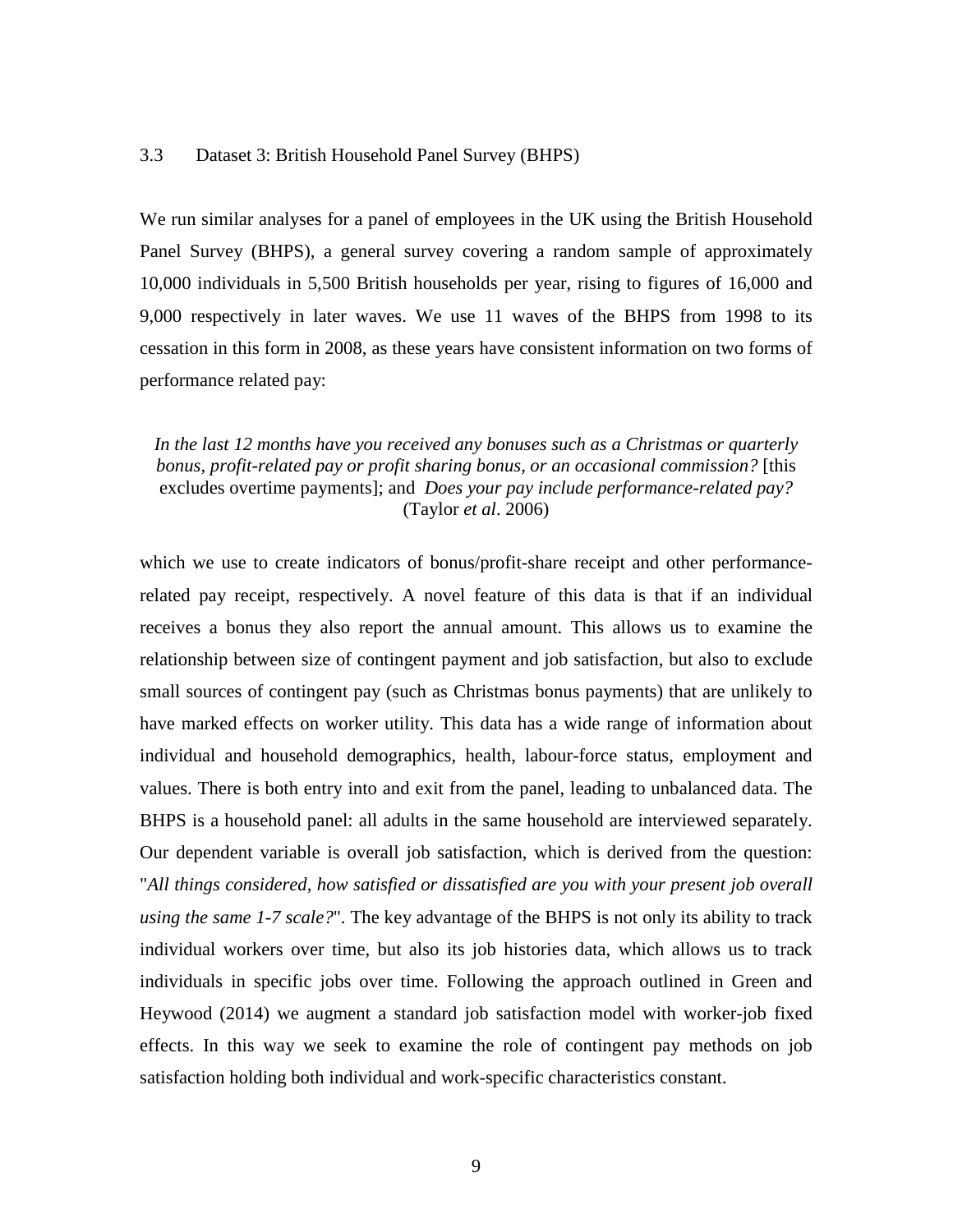#### 3.3 Dataset 3: British Household Panel Survey (BHPS)

We run similar analyses for a panel of employees in the UK using the British Household Panel Survey (BHPS), a general survey covering a random sample of approximately 10,000 individuals in 5,500 British households per year, rising to figures of 16,000 and 9,000 respectively in later waves. We use 11 waves of the BHPS from 1998 to its cessation in this form in 2008, as these years have consistent information on two forms of performance related pay:

#### *In the last 12 months have you received any bonuses such as a Christmas or quarterly bonus, profit-related pay or profit sharing bonus, or an occasional commission?* [this excludes overtime payments]; and *Does your pay include performance-related pay?* (Taylor *et al*. 2006)

which we use to create indicators of bonus/profit-share receipt and other performancerelated pay receipt, respectively. A novel feature of this data is that if an individual receives a bonus they also report the annual amount. This allows us to examine the relationship between size of contingent payment and job satisfaction, but also to exclude small sources of contingent pay (such as Christmas bonus payments) that are unlikely to have marked effects on worker utility. This data has a wide range of information about individual and household demographics, health, labour-force status, employment and values. There is both entry into and exit from the panel, leading to unbalanced data. The BHPS is a household panel: all adults in the same household are interviewed separately. Our dependent variable is overall job satisfaction, which is derived from the question: "*All things considered, how satisfied or dissatisfied are you with your present job overall using the same 1-7 scale?*". The key advantage of the BHPS is not only its ability to track individual workers over time, but also its job histories data, which allows us to track individuals in specific jobs over time. Following the approach outlined in Green and Heywood (2014) we augment a standard job satisfaction model with worker-job fixed effects. In this way we seek to examine the role of contingent pay methods on job satisfaction holding both individual and work-specific characteristics constant.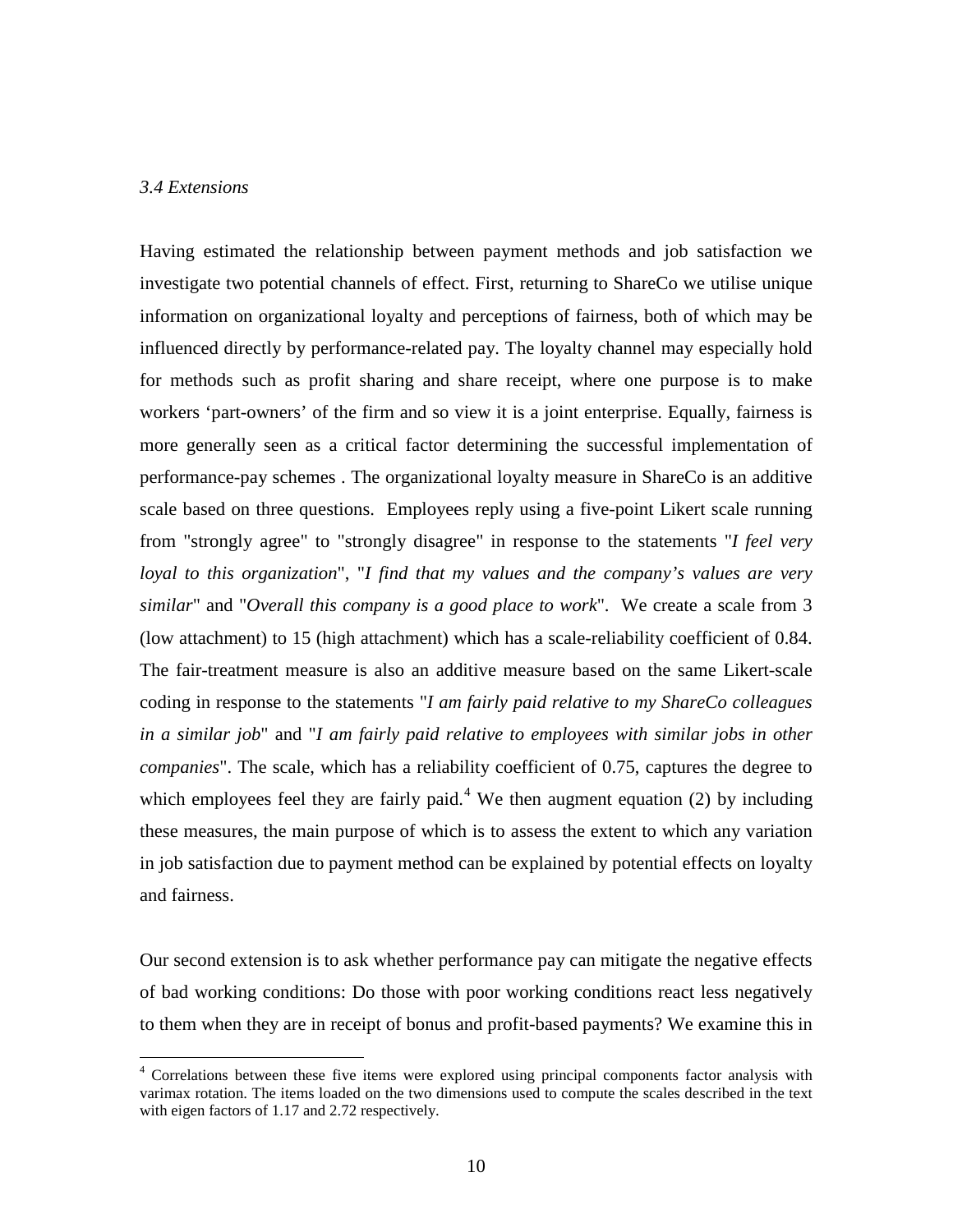#### *3.4 Extensions*

Having estimated the relationship between payment methods and job satisfaction we investigate two potential channels of effect. First, returning to ShareCo we utilise unique information on organizational loyalty and perceptions of fairness, both of which may be influenced directly by performance-related pay. The loyalty channel may especially hold for methods such as profit sharing and share receipt, where one purpose is to make workers 'part-owners' of the firm and so view it is a joint enterprise. Equally, fairness is more generally seen as a critical factor determining the successful implementation of performance-pay schemes . The organizational loyalty measure in ShareCo is an additive scale based on three questions. Employees reply using a five-point Likert scale running from "strongly agree" to "strongly disagree" in response to the statements "*I feel very loyal to this organization*", "*I find that my values and the company's values are very similar*" and "*Overall this company is a good place to work*". We create a scale from 3 (low attachment) to 15 (high attachment) which has a scale-reliability coefficient of 0.84. The fair-treatment measure is also an additive measure based on the same Likert-scale coding in response to the statements "*I am fairly paid relative to my ShareCo colleagues in a similar job*" and "*I am fairly paid relative to employees with similar jobs in other companies*". The scale, which has a reliability coefficient of 0.75, captures the degree to which employees feel they are fairly paid.<sup>[4](#page-9-0)</sup> We then augment equation (2) by including these measures, the main purpose of which is to assess the extent to which any variation in job satisfaction due to payment method can be explained by potential effects on loyalty and fairness.

Our second extension is to ask whether performance pay can mitigate the negative effects of bad working conditions: Do those with poor working conditions react less negatively to them when they are in receipt of bonus and profit-based payments? We examine this in

<span id="page-11-0"></span><sup>&</sup>lt;sup>4</sup> Correlations between these five items were explored using principal components factor analysis with varimax rotation. The items loaded on the two dimensions used to compute the scales described in the text with eigen factors of 1.17 and 2.72 respectively.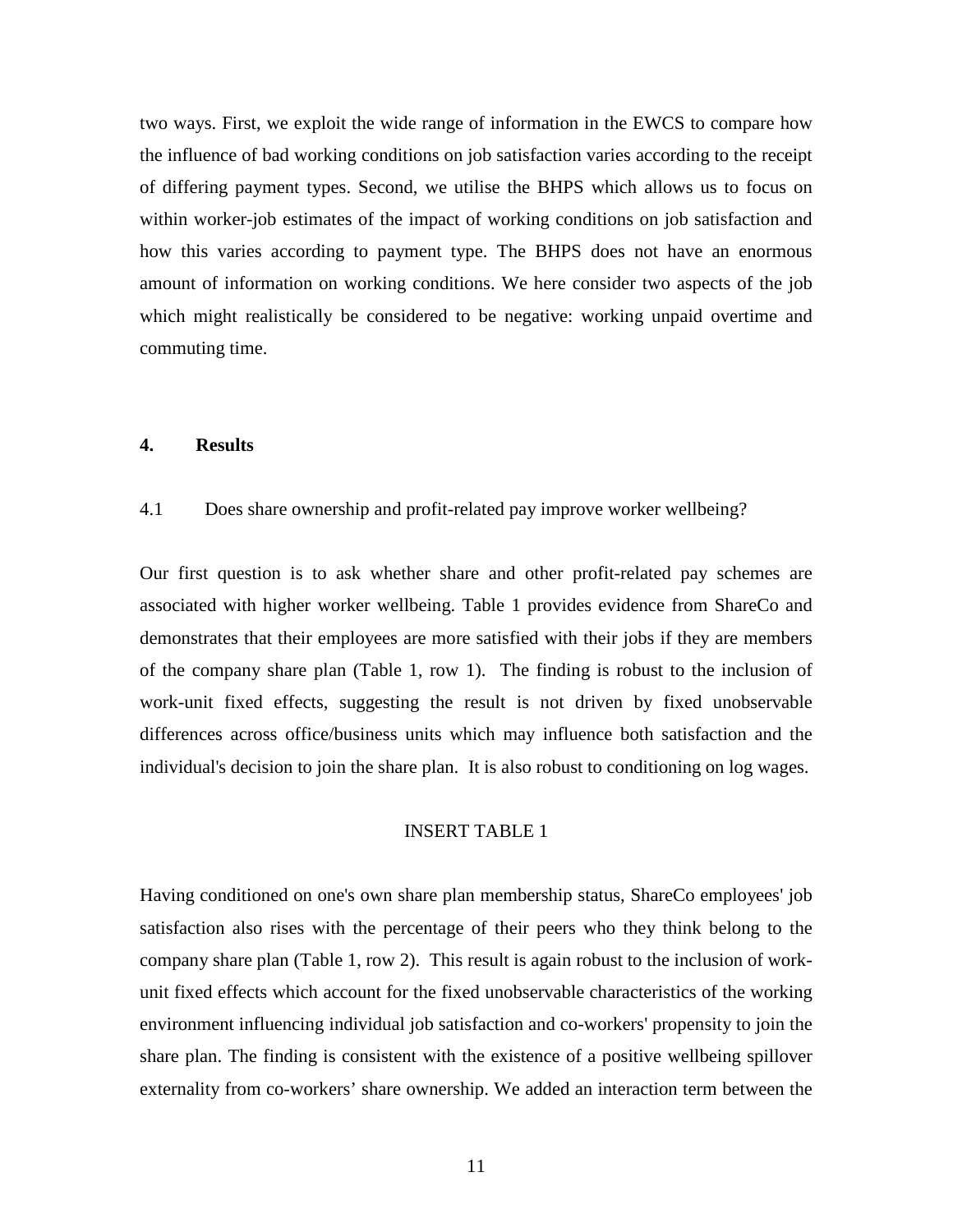two ways. First, we exploit the wide range of information in the EWCS to compare how the influence of bad working conditions on job satisfaction varies according to the receipt of differing payment types. Second, we utilise the BHPS which allows us to focus on within worker-job estimates of the impact of working conditions on job satisfaction and how this varies according to payment type. The BHPS does not have an enormous amount of information on working conditions. We here consider two aspects of the job which might realistically be considered to be negative: working unpaid overtime and commuting time.

#### **4. Results**

#### 4.1 Does share ownership and profit-related pay improve worker wellbeing?

Our first question is to ask whether share and other profit-related pay schemes are associated with higher worker wellbeing. Table 1 provides evidence from ShareCo and demonstrates that their employees are more satisfied with their jobs if they are members of the company share plan (Table 1, row 1). The finding is robust to the inclusion of work-unit fixed effects, suggesting the result is not driven by fixed unobservable differences across office/business units which may influence both satisfaction and the individual's decision to join the share plan. It is also robust to conditioning on log wages.

#### INSERT TABLE 1

Having conditioned on one's own share plan membership status, ShareCo employees' job satisfaction also rises with the percentage of their peers who they think belong to the company share plan (Table 1, row 2). This result is again robust to the inclusion of workunit fixed effects which account for the fixed unobservable characteristics of the working environment influencing individual job satisfaction and co-workers' propensity to join the share plan. The finding is consistent with the existence of a positive wellbeing spillover externality from co-workers' share ownership. We added an interaction term between the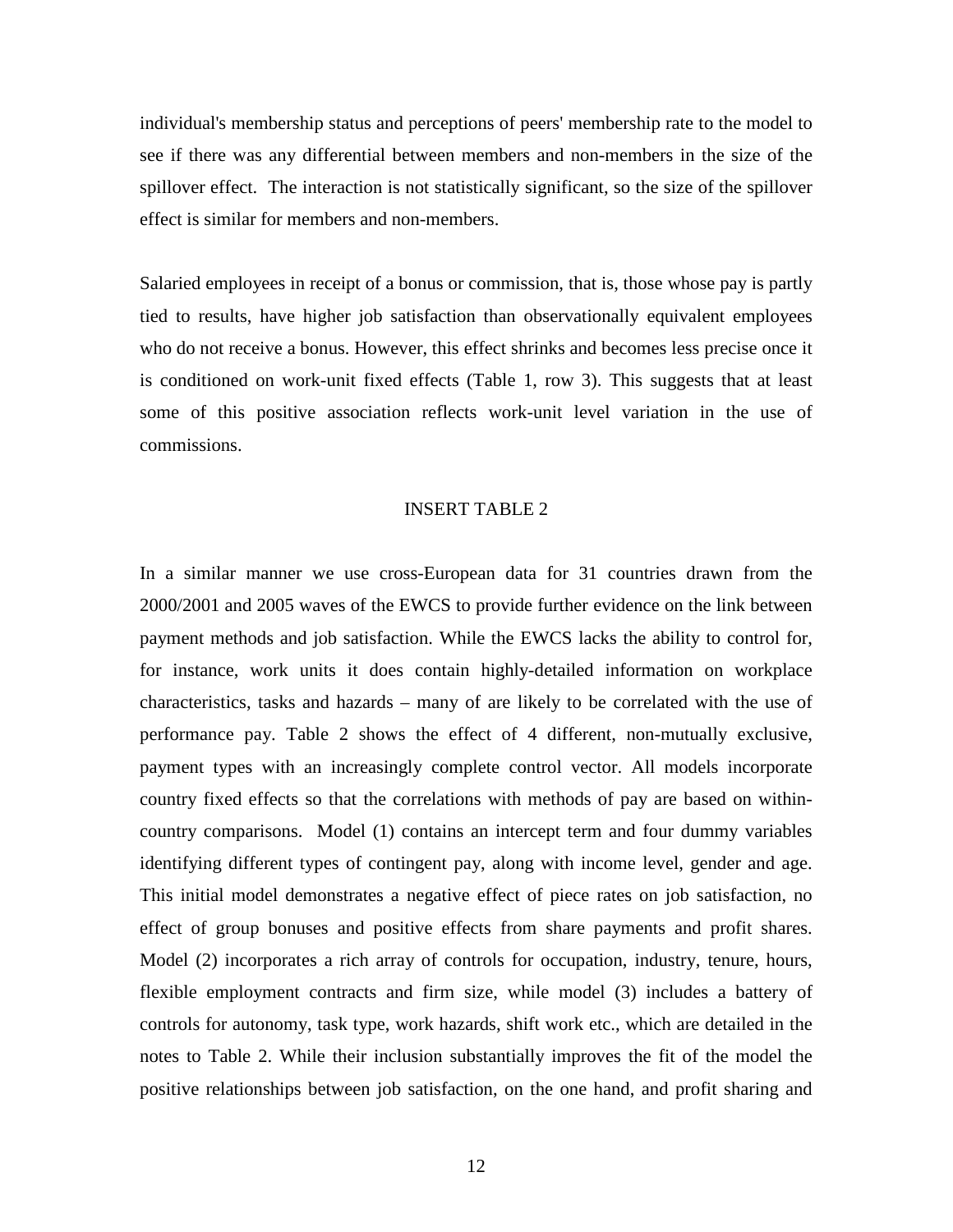individual's membership status and perceptions of peers' membership rate to the model to see if there was any differential between members and non-members in the size of the spillover effect. The interaction is not statistically significant, so the size of the spillover effect is similar for members and non-members.

Salaried employees in receipt of a bonus or commission, that is, those whose pay is partly tied to results, have higher job satisfaction than observationally equivalent employees who do not receive a bonus. However, this effect shrinks and becomes less precise once it is conditioned on work-unit fixed effects (Table 1, row 3). This suggests that at least some of this positive association reflects work-unit level variation in the use of commissions.

#### INSERT TABLE 2

In a similar manner we use cross-European data for 31 countries drawn from the 2000/2001 and 2005 waves of the EWCS to provide further evidence on the link between payment methods and job satisfaction. While the EWCS lacks the ability to control for, for instance, work units it does contain highly-detailed information on workplace characteristics, tasks and hazards – many of are likely to be correlated with the use of performance pay. Table 2 shows the effect of 4 different, non-mutually exclusive, payment types with an increasingly complete control vector. All models incorporate country fixed effects so that the correlations with methods of pay are based on withincountry comparisons. Model (1) contains an intercept term and four dummy variables identifying different types of contingent pay, along with income level, gender and age. This initial model demonstrates a negative effect of piece rates on job satisfaction, no effect of group bonuses and positive effects from share payments and profit shares. Model (2) incorporates a rich array of controls for occupation, industry, tenure, hours, flexible employment contracts and firm size, while model (3) includes a battery of controls for autonomy, task type, work hazards, shift work etc., which are detailed in the notes to Table 2. While their inclusion substantially improves the fit of the model the positive relationships between job satisfaction, on the one hand, and profit sharing and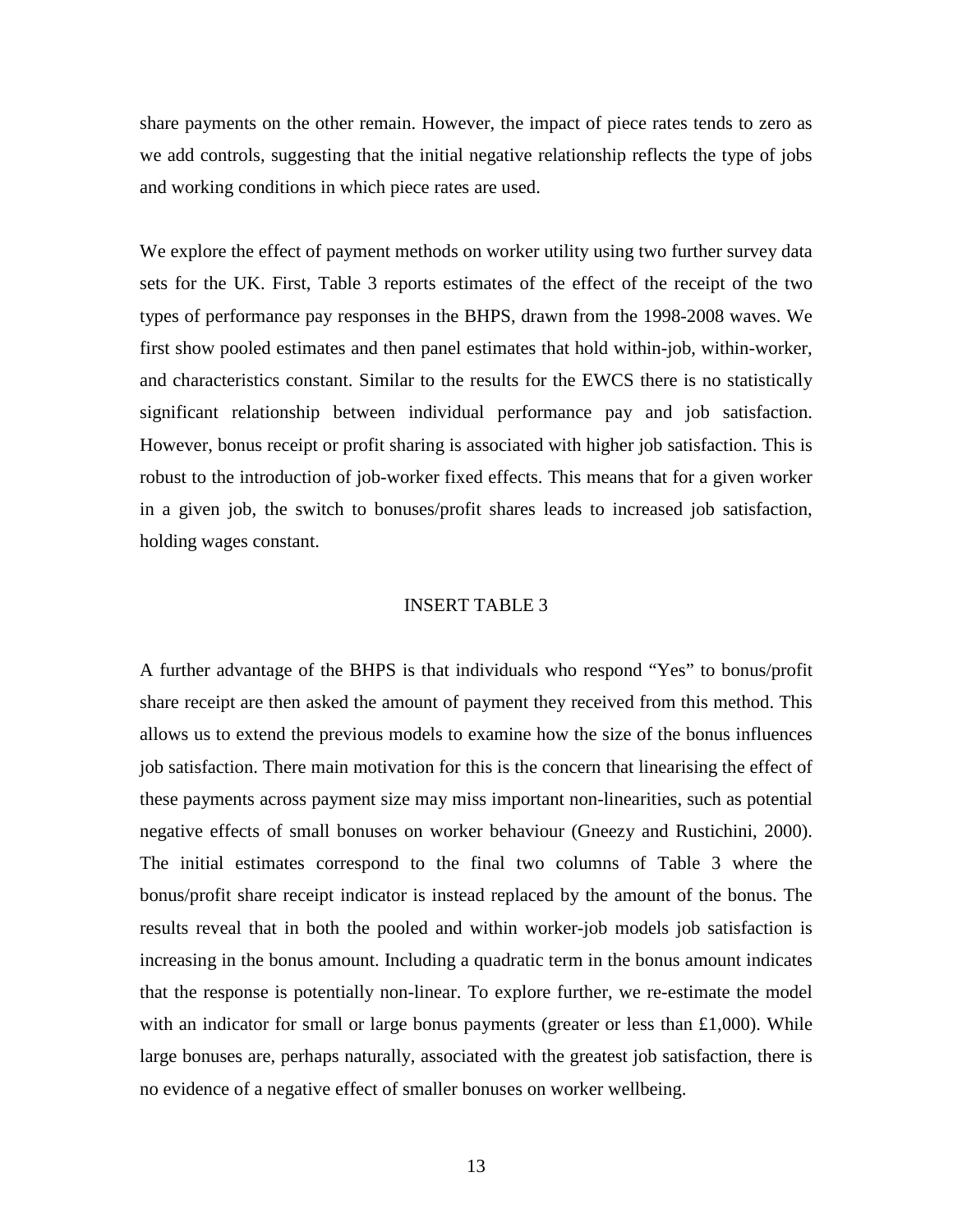share payments on the other remain. However, the impact of piece rates tends to zero as we add controls, suggesting that the initial negative relationship reflects the type of jobs and working conditions in which piece rates are used.

We explore the effect of payment methods on worker utility using two further survey data sets for the UK. First, Table 3 reports estimates of the effect of the receipt of the two types of performance pay responses in the BHPS, drawn from the 1998-2008 waves. We first show pooled estimates and then panel estimates that hold within-job, within-worker, and characteristics constant. Similar to the results for the EWCS there is no statistically significant relationship between individual performance pay and job satisfaction. However, bonus receipt or profit sharing is associated with higher job satisfaction. This is robust to the introduction of job-worker fixed effects. This means that for a given worker in a given job, the switch to bonuses/profit shares leads to increased job satisfaction, holding wages constant.

#### INSERT TABLE 3

A further advantage of the BHPS is that individuals who respond "Yes" to bonus/profit share receipt are then asked the amount of payment they received from this method. This allows us to extend the previous models to examine how the size of the bonus influences job satisfaction. There main motivation for this is the concern that linearising the effect of these payments across payment size may miss important non-linearities, such as potential negative effects of small bonuses on worker behaviour (Gneezy and Rustichini, 2000). The initial estimates correspond to the final two columns of Table 3 where the bonus/profit share receipt indicator is instead replaced by the amount of the bonus. The results reveal that in both the pooled and within worker-job models job satisfaction is increasing in the bonus amount. Including a quadratic term in the bonus amount indicates that the response is potentially non-linear. To explore further, we re-estimate the model with an indicator for small or large bonus payments (greater or less than  $£1,000$ ). While large bonuses are, perhaps naturally, associated with the greatest job satisfaction, there is no evidence of a negative effect of smaller bonuses on worker wellbeing.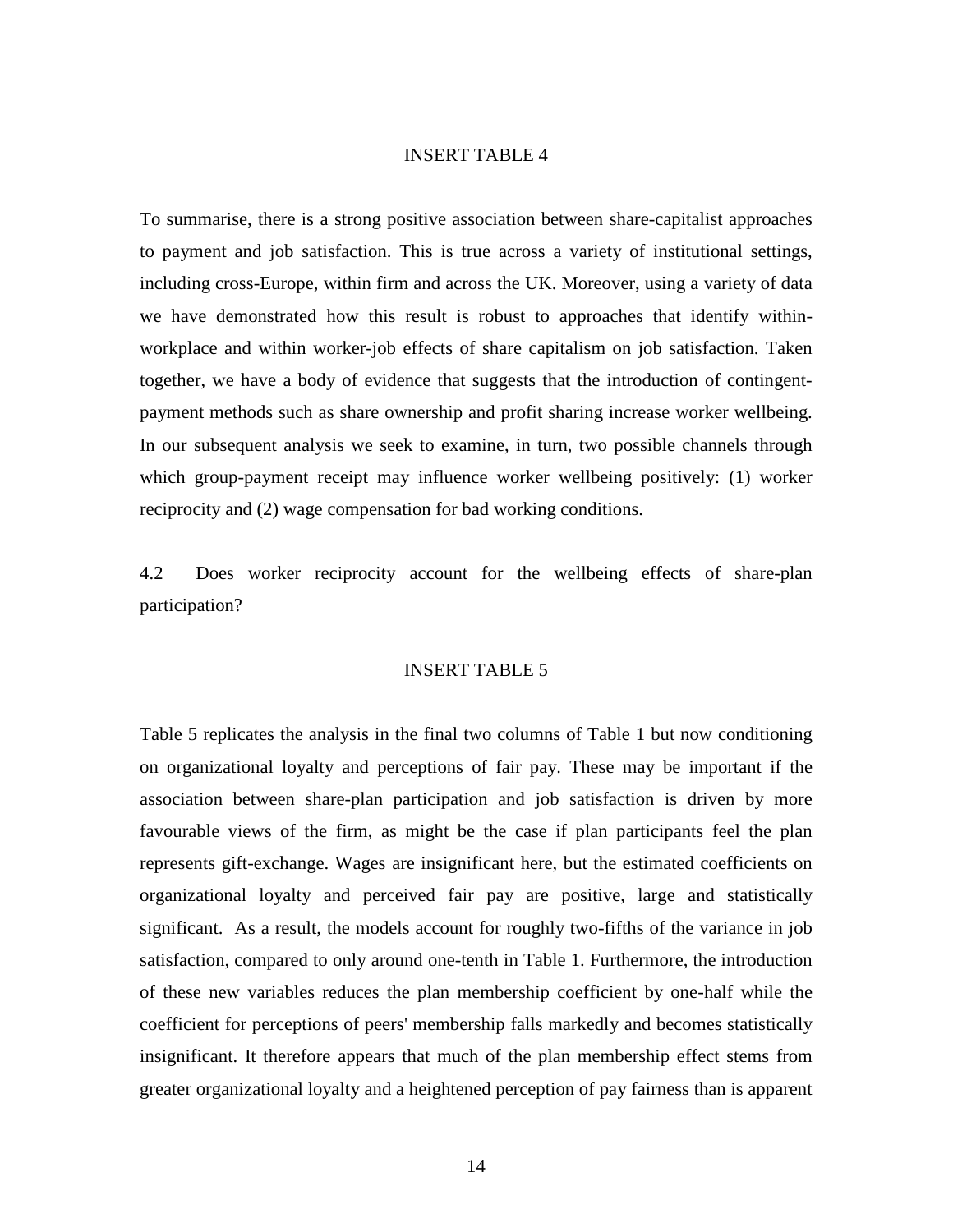#### INSERT TABLE 4

To summarise, there is a strong positive association between share-capitalist approaches to payment and job satisfaction. This is true across a variety of institutional settings, including cross-Europe, within firm and across the UK. Moreover, using a variety of data we have demonstrated how this result is robust to approaches that identify withinworkplace and within worker-job effects of share capitalism on job satisfaction. Taken together, we have a body of evidence that suggests that the introduction of contingentpayment methods such as share ownership and profit sharing increase worker wellbeing. In our subsequent analysis we seek to examine, in turn, two possible channels through which group-payment receipt may influence worker wellbeing positively: (1) worker reciprocity and (2) wage compensation for bad working conditions.

4.2 Does worker reciprocity account for the wellbeing effects of share-plan participation?

#### INSERT TABLE 5

Table 5 replicates the analysis in the final two columns of Table 1 but now conditioning on organizational loyalty and perceptions of fair pay. These may be important if the association between share-plan participation and job satisfaction is driven by more favourable views of the firm, as might be the case if plan participants feel the plan represents gift-exchange. Wages are insignificant here, but the estimated coefficients on organizational loyalty and perceived fair pay are positive, large and statistically significant. As a result, the models account for roughly two-fifths of the variance in job satisfaction, compared to only around one-tenth in Table 1. Furthermore, the introduction of these new variables reduces the plan membership coefficient by one-half while the coefficient for perceptions of peers' membership falls markedly and becomes statistically insignificant. It therefore appears that much of the plan membership effect stems from greater organizational loyalty and a heightened perception of pay fairness than is apparent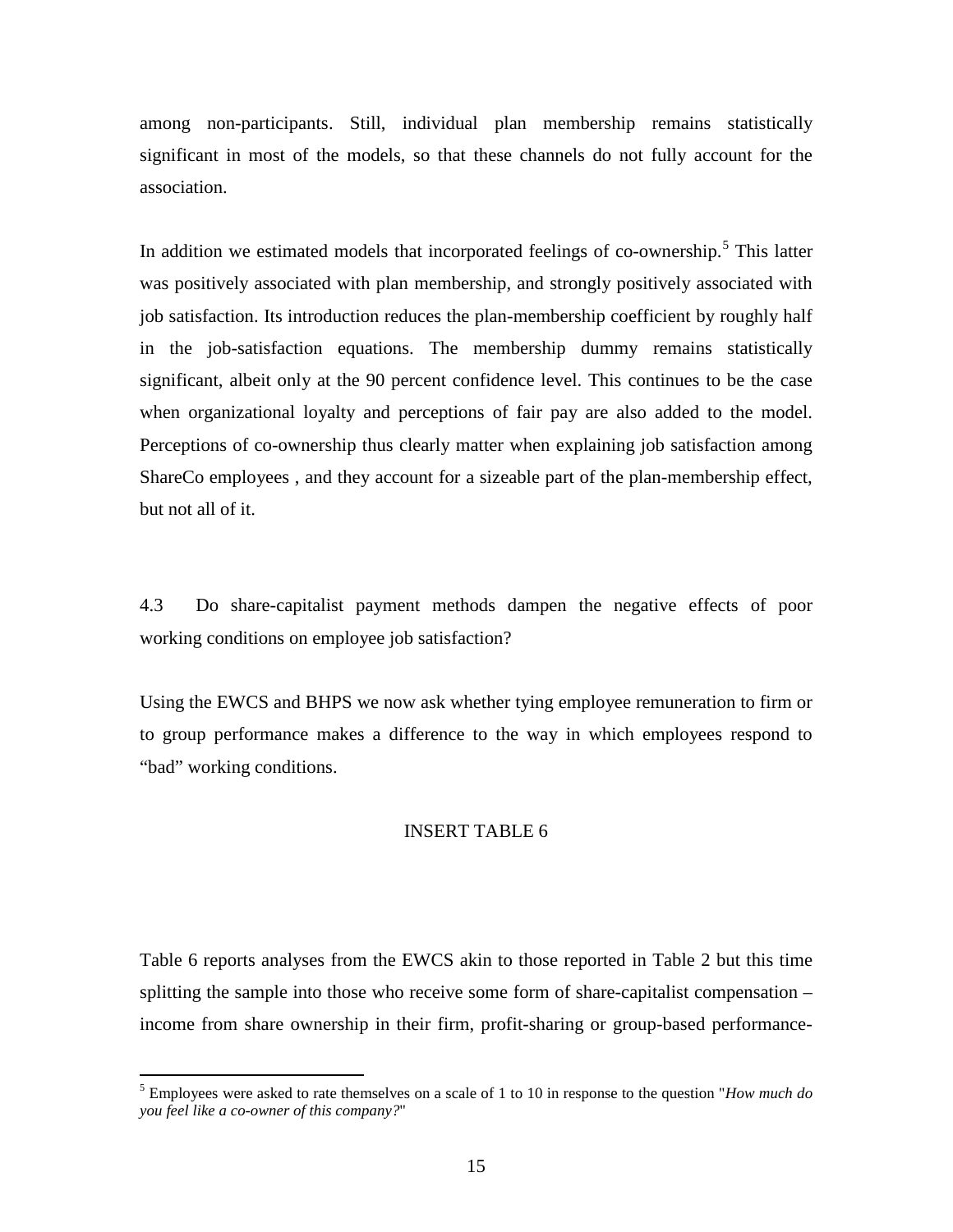among non-participants. Still, individual plan membership remains statistically significant in most of the models, so that these channels do not fully account for the association.

In addition we estimated models that incorporated feelings of co-ownership.<sup>[5](#page-11-0)</sup> This latter was positively associated with plan membership, and strongly positively associated with job satisfaction. Its introduction reduces the plan-membership coefficient by roughly half in the job-satisfaction equations. The membership dummy remains statistically significant, albeit only at the 90 percent confidence level. This continues to be the case when organizational loyalty and perceptions of fair pay are also added to the model. Perceptions of co-ownership thus clearly matter when explaining job satisfaction among ShareCo employees , and they account for a sizeable part of the plan-membership effect, but not all of it.

4.3 Do share-capitalist payment methods dampen the negative effects of poor working conditions on employee job satisfaction?

Using the EWCS and BHPS we now ask whether tying employee remuneration to firm or to group performance makes a difference to the way in which employees respond to "bad" working conditions.

#### INSERT TABLE 6

<span id="page-16-0"></span>Table 6 reports analyses from the EWCS akin to those reported in Table 2 but this time splitting the sample into those who receive some form of share-capitalist compensation – income from share ownership in their firm, profit-sharing or group-based performance-

 <sup>5</sup> Employees were asked to rate themselves on a scale of 1 to 10 in response to the question "*How much do you feel like a co-owner of this company?*"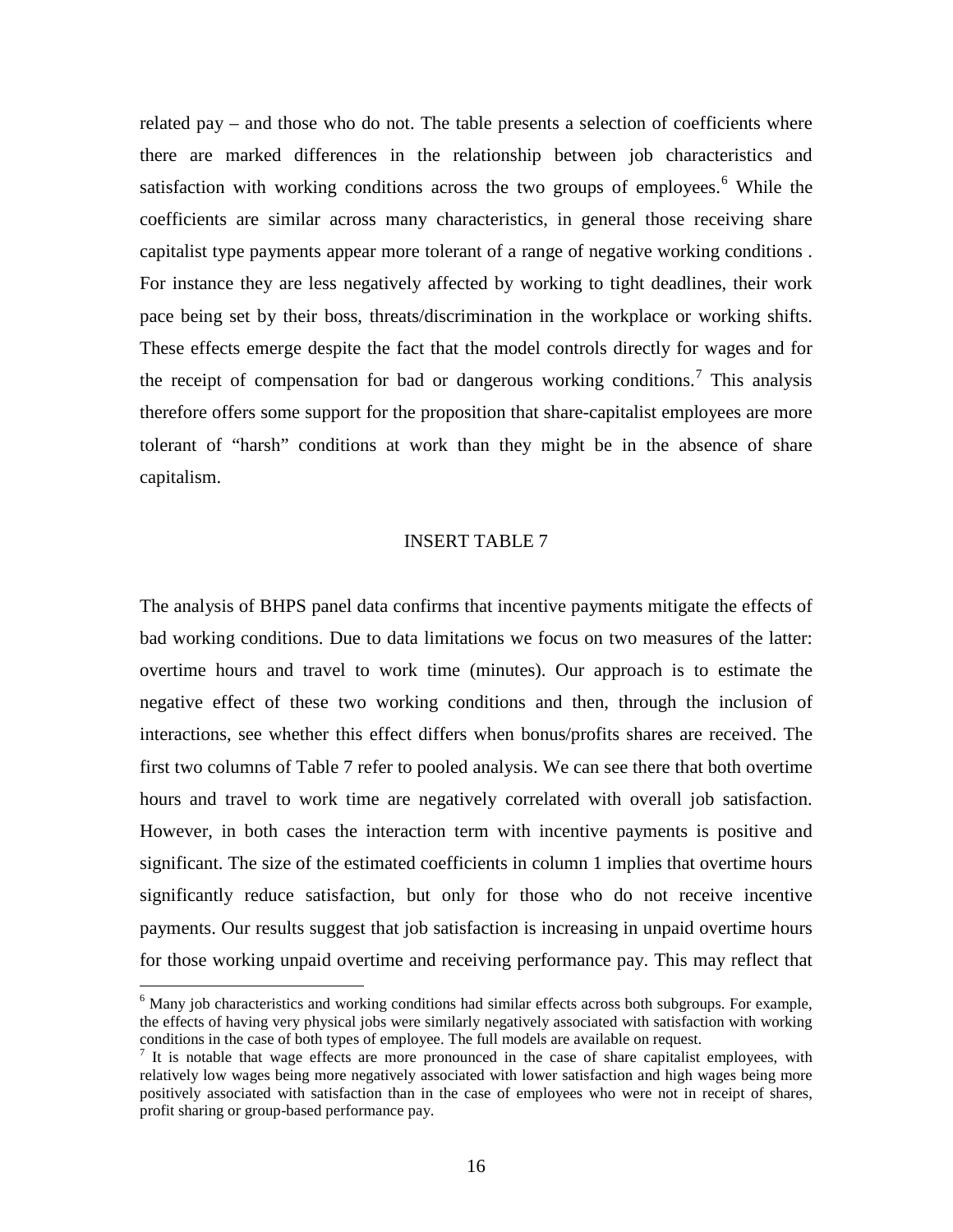related pay – and those who do not. The table presents a selection of coefficients where there are marked differences in the relationship between job characteristics and satisfaction with working conditions across the two groups of employees.<sup>[6](#page-16-0)</sup> While the coefficients are similar across many characteristics, in general those receiving share capitalist type payments appear more tolerant of a range of negative working conditions . For instance they are less negatively affected by working to tight deadlines, their work pace being set by their boss, threats/discrimination in the workplace or working shifts. These effects emerge despite the fact that the model controls directly for wages and for the receipt of compensation for bad or dangerous working conditions.<sup>[7](#page-17-0)</sup> This analysis therefore offers some support for the proposition that share-capitalist employees are more tolerant of "harsh" conditions at work than they might be in the absence of share capitalism.

#### INSERT TABLE 7

The analysis of BHPS panel data confirms that incentive payments mitigate the effects of bad working conditions. Due to data limitations we focus on two measures of the latter: overtime hours and travel to work time (minutes). Our approach is to estimate the negative effect of these two working conditions and then, through the inclusion of interactions, see whether this effect differs when bonus/profits shares are received. The first two columns of Table 7 refer to pooled analysis. We can see there that both overtime hours and travel to work time are negatively correlated with overall job satisfaction. However, in both cases the interaction term with incentive payments is positive and significant. The size of the estimated coefficients in column 1 implies that overtime hours significantly reduce satisfaction, but only for those who do not receive incentive payments. Our results suggest that job satisfaction is increasing in unpaid overtime hours for those working unpaid overtime and receiving performance pay. This may reflect that

 $<sup>6</sup>$  Many job characteristics and working conditions had similar effects across both subgroups. For example,</sup> the effects of having very physical jobs were similarly negatively associated with satisfaction with working conditions in the case of both types of employee. The full models are available on request.

<span id="page-17-0"></span>It is notable that wage effects are more pronounced in the case of share capitalist employees, with relatively low wages being more negatively associated with lower satisfaction and high wages being more positively associated with satisfaction than in the case of employees who were not in receipt of shares, profit sharing or group-based performance pay.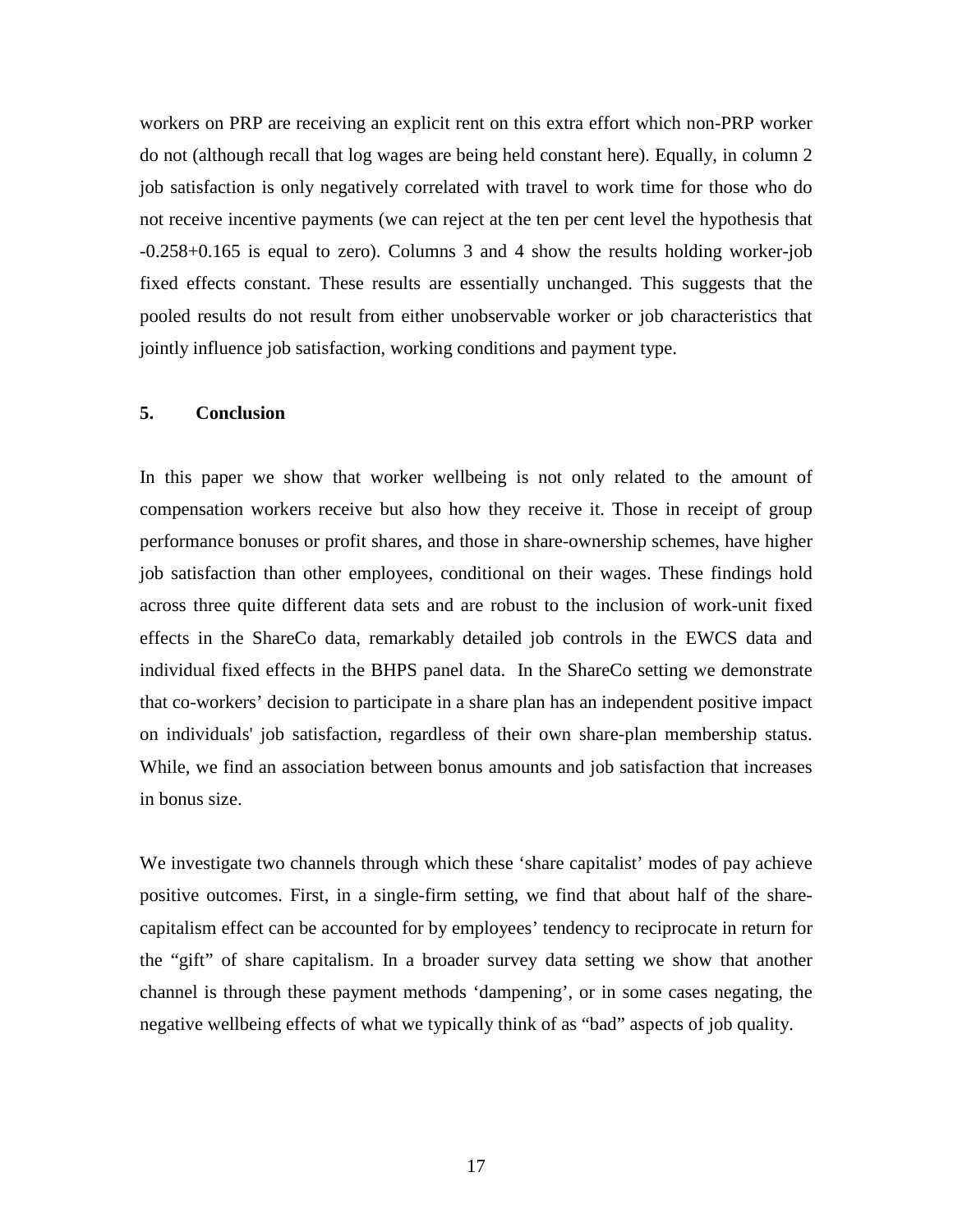workers on PRP are receiving an explicit rent on this extra effort which non-PRP worker do not (although recall that log wages are being held constant here). Equally, in column 2 job satisfaction is only negatively correlated with travel to work time for those who do not receive incentive payments (we can reject at the ten per cent level the hypothesis that -0.258+0.165 is equal to zero). Columns 3 and 4 show the results holding worker-job fixed effects constant. These results are essentially unchanged. This suggests that the pooled results do not result from either unobservable worker or job characteristics that jointly influence job satisfaction, working conditions and payment type.

#### **5. Conclusion**

In this paper we show that worker wellbeing is not only related to the amount of compensation workers receive but also how they receive it. Those in receipt of group performance bonuses or profit shares, and those in share-ownership schemes, have higher job satisfaction than other employees, conditional on their wages. These findings hold across three quite different data sets and are robust to the inclusion of work-unit fixed effects in the ShareCo data, remarkably detailed job controls in the EWCS data and individual fixed effects in the BHPS panel data. In the ShareCo setting we demonstrate that co-workers' decision to participate in a share plan has an independent positive impact on individuals' job satisfaction, regardless of their own share-plan membership status. While, we find an association between bonus amounts and job satisfaction that increases in bonus size.

We investigate two channels through which these 'share capitalist' modes of pay achieve positive outcomes. First, in a single-firm setting, we find that about half of the sharecapitalism effect can be accounted for by employees' tendency to reciprocate in return for the "gift" of share capitalism. In a broader survey data setting we show that another channel is through these payment methods 'dampening', or in some cases negating, the negative wellbeing effects of what we typically think of as "bad" aspects of job quality.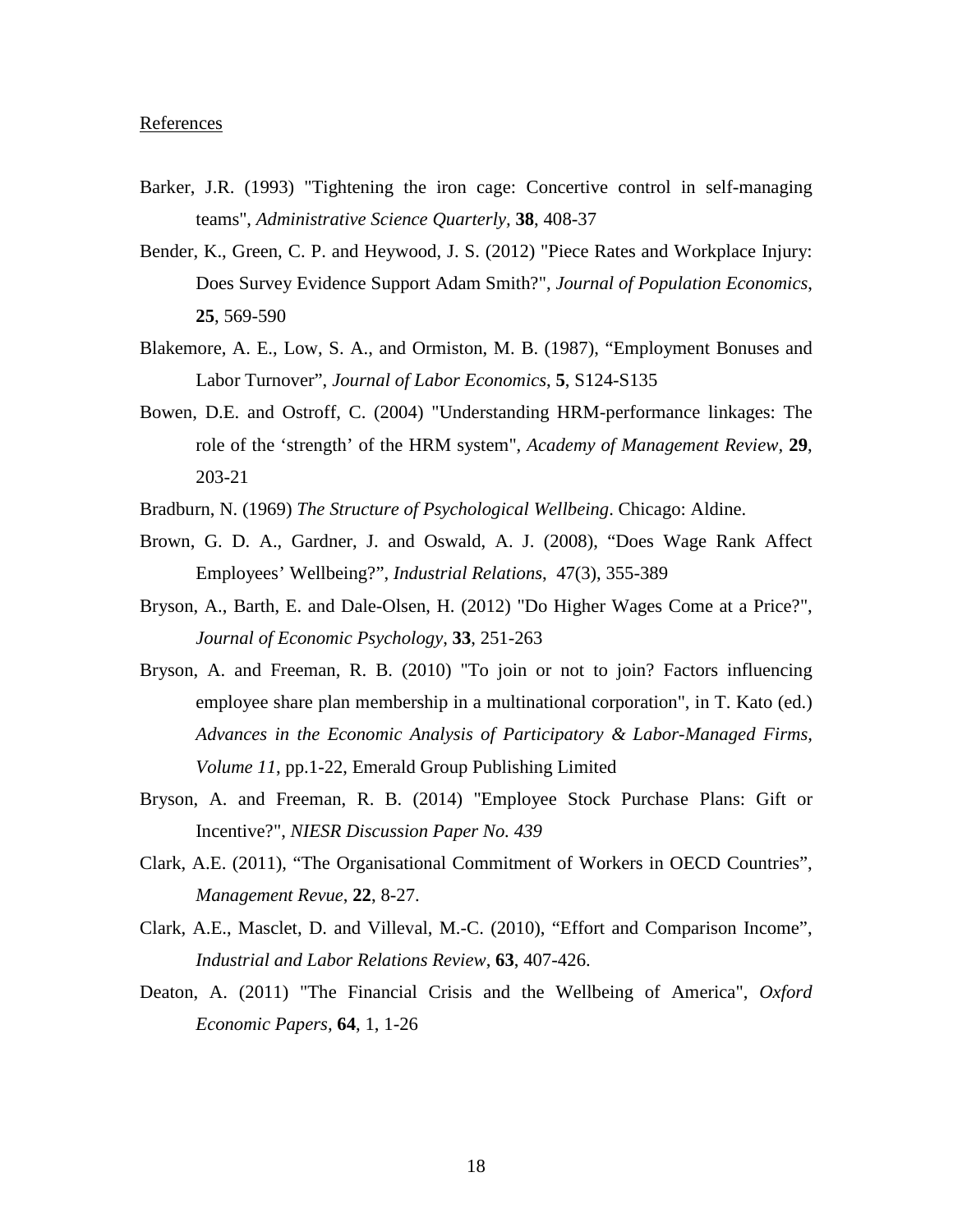#### **References**

- Barker, J.R. (1993) "Tightening the iron cage: Concertive control in self-managing teams", *Administrative Science Quarterly,* **38**, 408-37
- Bender, K., Green, C. P. and Heywood, J. S. (2012) "Piece Rates and Workplace Injury: Does Survey Evidence Support Adam Smith?", *Journal of Population Economics*, **25**, 569-590
- Blakemore, A. E., Low, S. A., and Ormiston, M. B. (1987), "Employment Bonuses and Labor Turnover", *Journal of Labor Economics*, **5**, S124-S135
- Bowen, D.E. and Ostroff, C. (2004) "Understanding HRM-performance linkages: The role of the 'strength' of the HRM system", *Academy of Management Review,* **29**, 203-21
- Bradburn, N. (1969) *The Structure of Psychological Wellbeing*. Chicago: Aldine.
- Brown, G. D. A., Gardner, J. and Oswald, A. J. (2008), "Does Wage Rank Affect Employees' Wellbeing?", *Industrial Relations*, 47(3), 355-389
- Bryson, A., Barth, E. and Dale-Olsen, H. (2012) "Do Higher Wages Come at a Price?", *Journal of Economic Psychology*, **33**, 251-263
- Bryson, A. and Freeman, R. B. (2010) "To join or not to join? Factors influencing employee share plan membership in a multinational corporation", in T. Kato (ed.) *Advances in the Economic Analysis of Participatory & Labor-Managed Firms, Volume 11*, pp.1-22, Emerald Group Publishing Limited
- Bryson, A. and Freeman, R. B. (2014) "Employee Stock Purchase Plans: Gift or Incentive?", *NIESR Discussion Paper No. 439*
- Clark, A.E. (2011), "The Organisational Commitment of Workers in OECD Countries", *Management Revue*, **22**, 8-27.
- Clark, A.E., Masclet, D. and Villeval, M.-C. (2010), "Effort and Comparison Income", *Industrial and Labor Relations Review*, **63**, 407-426.
- Deaton, A. (2011) "The Financial Crisis and the Wellbeing of America", *Oxford Economic Papers,* **64**, 1, 1-26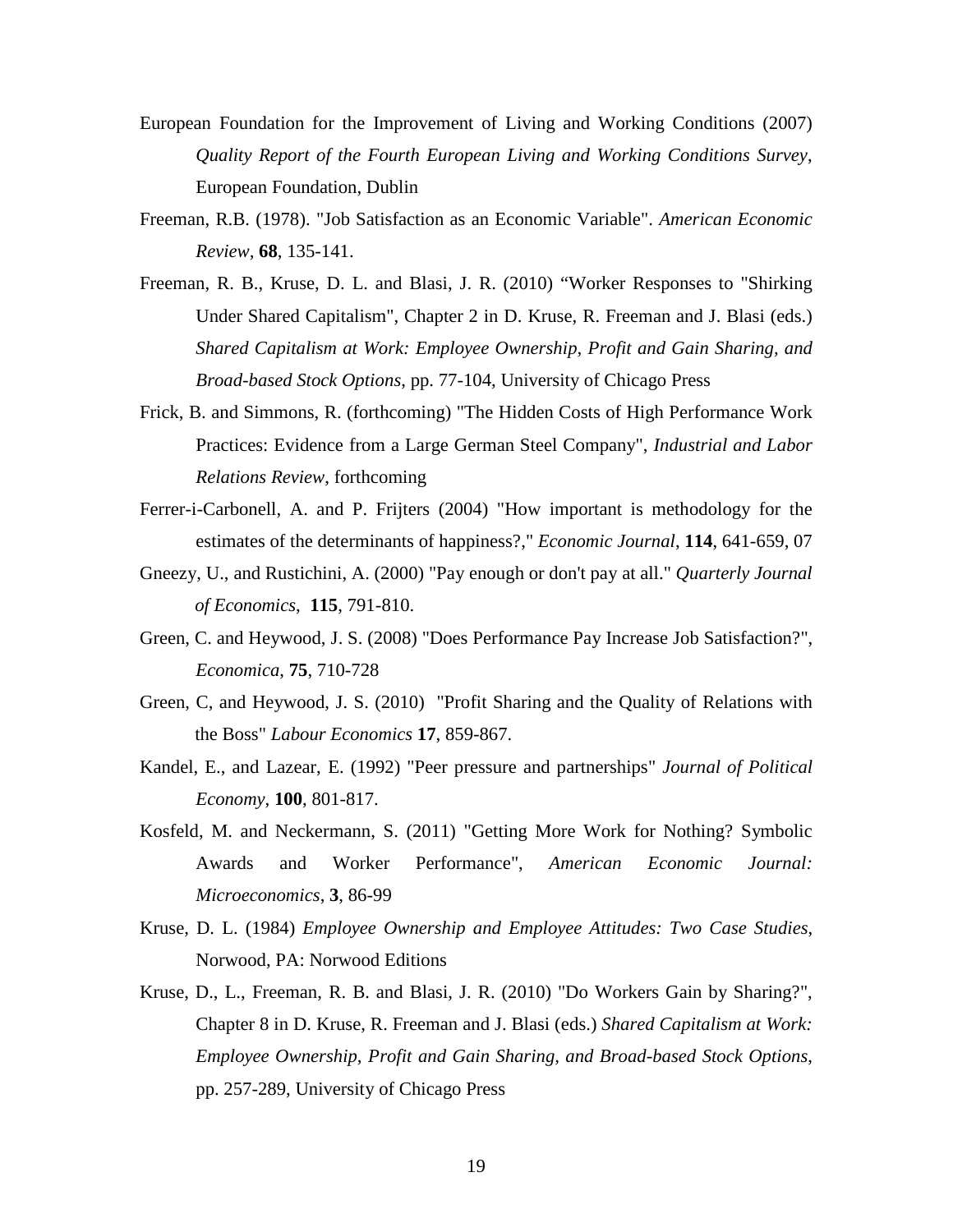- European Foundation for the Improvement of Living and Working Conditions (2007) *Quality Report of the Fourth European Living and Working Conditions Survey*, European Foundation, Dublin
- Freeman, R.B. (1978). "Job Satisfaction as an Economic Variable". *American Economic Review,* **68**, 135-141.
- Freeman, R. B., Kruse, D. L. and Blasi, J. R. (2010) "Worker Responses to "Shirking Under Shared Capitalism", Chapter 2 in D. Kruse, R. Freeman and J. Blasi (eds.) *Shared Capitalism at Work: Employee Ownership, Profit and Gain Sharing, and Broad-based Stock Options*, pp. 77-104, University of Chicago Press
- Frick, B. and Simmons, R. (forthcoming) "The Hidden Costs of High Performance Work Practices: Evidence from a Large German Steel Company", *Industrial and Labor Relations Review*, forthcoming
- Ferrer-i-Carbonell, A. and P. Frijters (2004) ["How important is methodology for the](http://ideas.repec.org/a/ecj/econjl/v114y2004i497p641-659.html)  [estimates of the determinants of happiness?,](http://ideas.repec.org/a/ecj/econjl/v114y2004i497p641-659.html)" *[Economic Journal](http://ideas.repec.org/s/ecj/econjl.html)*, **114**, 641-659, 07
- Gneezy, U., and Rustichini, A. (2000) "Pay enough or don't pay at all." *Quarterly Journal of Economics*, **115**, 791-810.
- Green, C. and Heywood, J. S. (2008) "Does Performance Pay Increase Job Satisfaction?", *Economica*, **75**, 710-728
- Green, C, and Heywood, J. S. (2010) "Profit Sharing and the Quality of Relations with the Boss" *Labour Economics* **17**, 859-867.
- Kandel, E., and Lazear, E. (1992) "Peer pressure and partnerships" *Journal of Political Economy*, **100**, 801-817.
- Kosfeld, M. and Neckermann, S. (2011) "Getting More Work for Nothing? Symbolic Awards and Worker Performance", *American Economic Journal: Microeconomics*, **3**, 86-99
- Kruse, D. L. (1984) *Employee Ownership and Employee Attitudes: Two Case Studies*, Norwood, PA: Norwood Editions
- Kruse, D., L., Freeman, R. B. and Blasi, J. R. (2010) "Do Workers Gain by Sharing?", Chapter 8 in D. Kruse, R. Freeman and J. Blasi (eds.) *Shared Capitalism at Work: Employee Ownership, Profit and Gain Sharing, and Broad-based Stock Options*, pp. 257-289, University of Chicago Press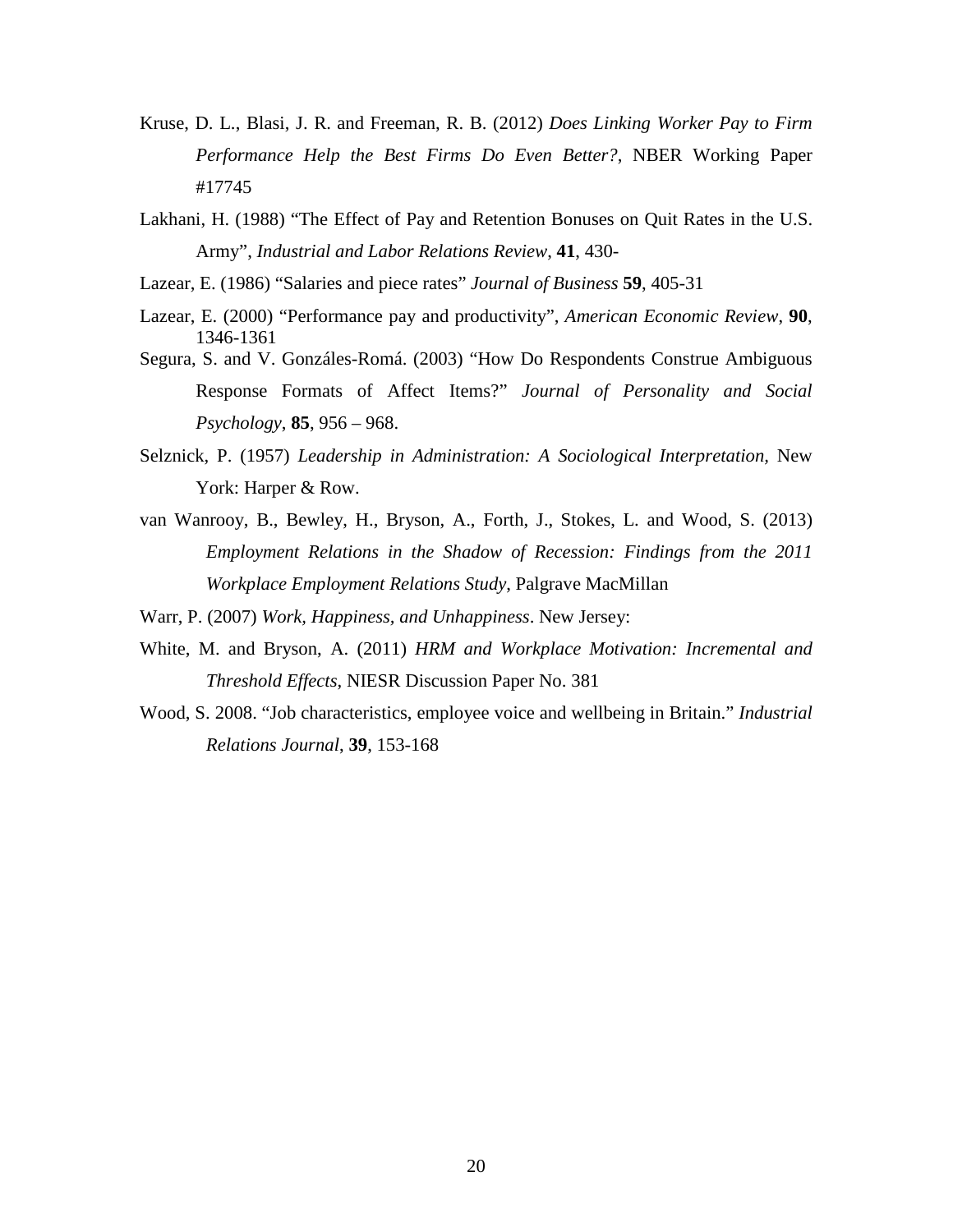- Kruse, D. L., Blasi, J. R. and Freeman, R. B. (2012) *Does Linking Worker Pay to Firm Performance Help the Best Firms Do Even Better?*, NBER Working Paper #17745
- Lakhani, H. (1988) "The Effect of Pay and Retention Bonuses on Quit Rates in the U.S. Army", *Industrial and Labor Relations Review*, **41**, 430-
- Lazear, E. (1986) "Salaries and piece rates" *Journal of Business* **59**, 405-31
- Lazear, E. (2000) "Performance pay and productivity", *American Economic Review*, **90**, 1346-1361
- Segura, S. and V. Gonzáles-Romá. (2003) "How Do Respondents Construe Ambiguous Response Formats of Affect Items?" *Journal of Personality and Social Psychology*, **85**, 956 – 968.
- Selznick, P. (1957) *Leadership in Administration: A Sociological Interpretation,* New York: Harper & Row.
- van Wanrooy, B., Bewley, H., Bryson, A., Forth, J., Stokes, L. and Wood, S. (2013) *Employment Relations in the Shadow of Recession: Findings from the 2011 Workplace Employment Relations Study*, Palgrave MacMillan
- Warr, P. (2007) *Work, Happiness, and Unhappiness*. New Jersey:
- White, M. and Bryson, A. (2011) *HRM and Workplace Motivation: Incremental and Threshold Effects*, NIESR Discussion Paper No. 381
- Wood, S. 2008. "Job characteristics, employee voice and wellbeing in Britain." *Industrial Relations Journal*, **39**, 153-168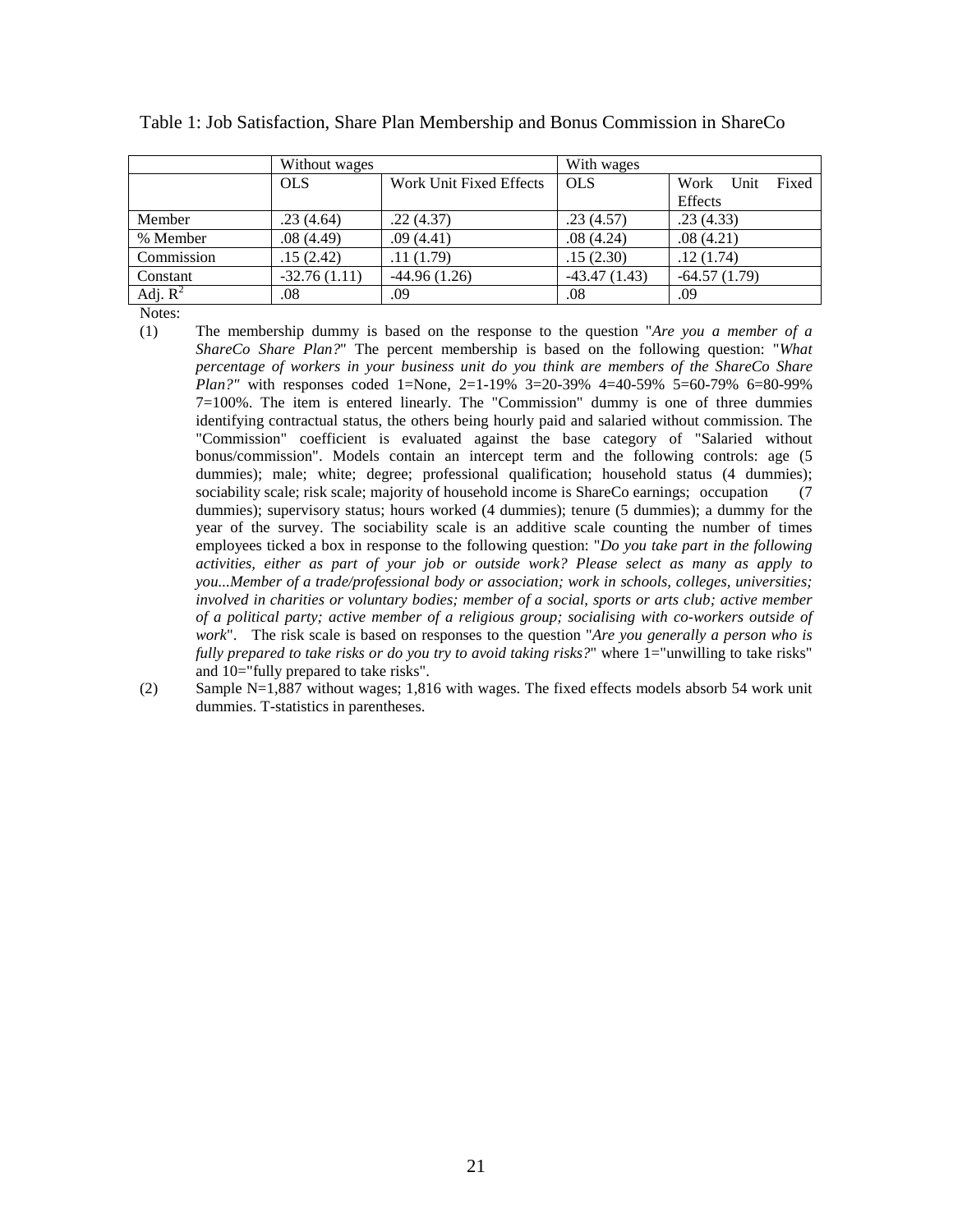|            | Without wages  |                         | With wages     |                    |  |
|------------|----------------|-------------------------|----------------|--------------------|--|
|            | <b>OLS</b>     | Work Unit Fixed Effects | <b>OLS</b>     | Work Unit<br>Fixed |  |
|            |                |                         |                | Effects            |  |
| Member     | .23(4.64)      | .22(4.37)               | .23(4.57)      | .23(4.33)          |  |
| % Member   | .08(4.49)      | .09(4.41)               | .08(4.24)      | .08(4.21)          |  |
| Commission | .15(2.42)      | .11(1.79)               | .15(2.30)      | .12(1.74)          |  |
| Constant   | $-32.76(1.11)$ | $-44.96(1.26)$          | $-43.47(1.43)$ | $-64.57(1.79)$     |  |
| Adj. $R^2$ | .08            | .09                     | .08            | .09                |  |

| Table 1: Job Satisfaction, Share Plan Membership and Bonus Commission in ShareCo |  |  |  |  |
|----------------------------------------------------------------------------------|--|--|--|--|
|----------------------------------------------------------------------------------|--|--|--|--|

Notes:

- (1) The membership dummy is based on the response to the question "*Are you a member of a ShareCo Share Plan?*" The percent membership is based on the following question: "*What percentage of workers in your business unit do you think are members of the ShareCo Share Plan?"* with responses coded 1=None, 2=1-19% 3=20-39% 4=40-59% 5=60-79% 6=80-99% 7=100%. The item is entered linearly. The "Commission" dummy is one of three dummies identifying contractual status, the others being hourly paid and salaried without commission. The "Commission" coefficient is evaluated against the base category of "Salaried without bonus/commission". Models contain an intercept term and the following controls: age (5 dummies); male; white; degree; professional qualification; household status (4 dummies); sociability scale; risk scale; majority of household income is ShareCo earnings; occupation (7) dummies); supervisory status; hours worked (4 dummies); tenure (5 dummies); a dummy for the year of the survey. The sociability scale is an additive scale counting the number of times employees ticked a box in response to the following question: "*Do you take part in the following activities, either as part of your job or outside work? Please select as many as apply to you...Member of a trade/professional body or association; work in schools, colleges, universities; involved in charities or voluntary bodies; member of a social, sports or arts club; active member of a political party; active member of a religious group; socialising with co-workers outside of work*". The risk scale is based on responses to the question "*Are you generally a person who is fully prepared to take risks or do you try to avoid taking risks?*" where 1="unwilling to take risks" and 10="fully prepared to take risks".
- (2) Sample N=1,887 without wages; 1,816 with wages. The fixed effects models absorb 54 work unit dummies. T-statistics in parentheses.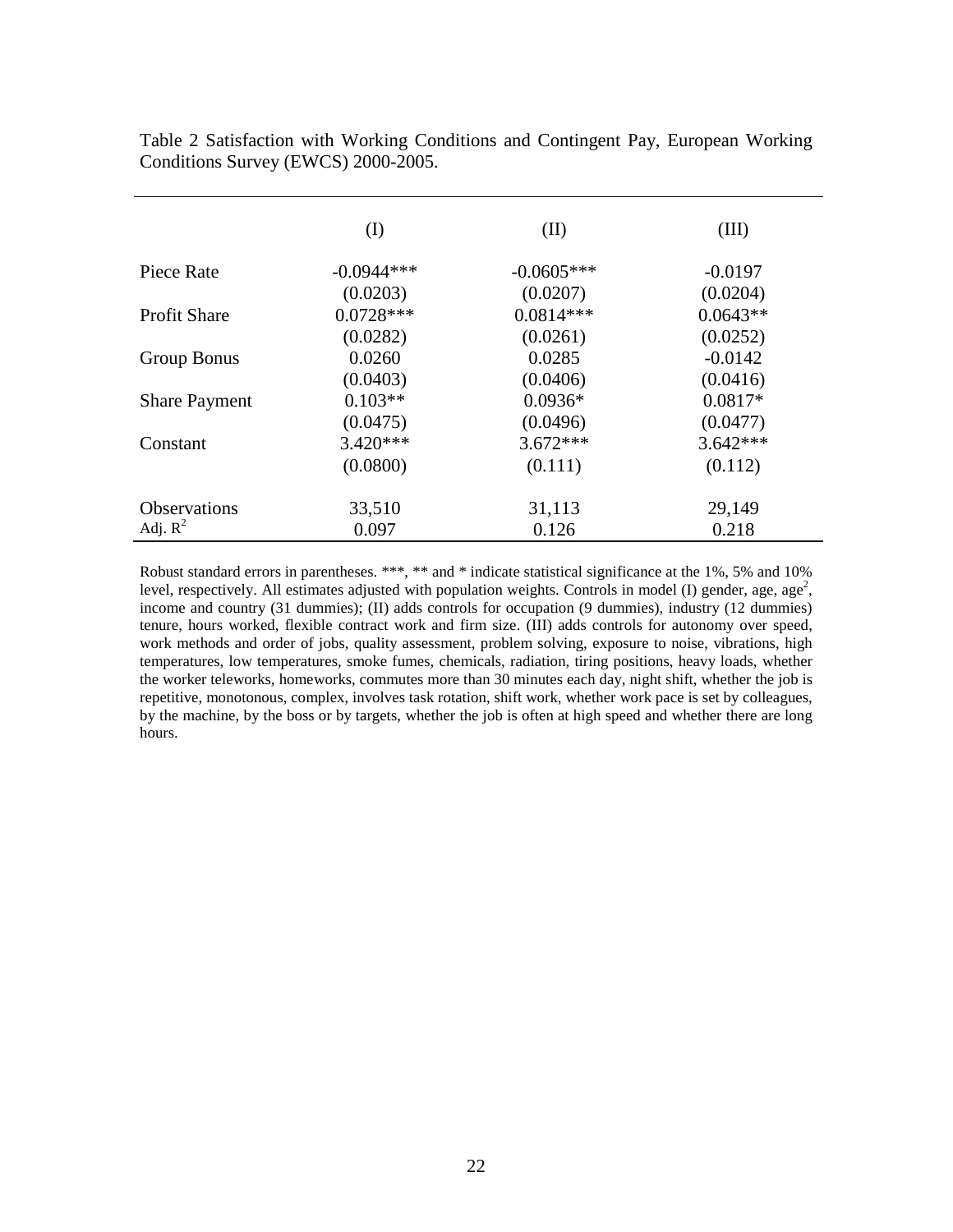|                      | (I)          | (II)         | (III)      |
|----------------------|--------------|--------------|------------|
| Piece Rate           | $-0.0944***$ | $-0.0605***$ | $-0.0197$  |
|                      | (0.0203)     | (0.0207)     | (0.0204)   |
| <b>Profit Share</b>  | $0.0728***$  | $0.0814***$  | $0.0643**$ |
|                      | (0.0282)     | (0.0261)     | (0.0252)   |
| Group Bonus          | 0.0260       | 0.0285       | $-0.0142$  |
|                      | (0.0403)     | (0.0406)     | (0.0416)   |
| <b>Share Payment</b> | $0.103**$    | $0.0936*$    | $0.0817*$  |
|                      | (0.0475)     | (0.0496)     | (0.0477)   |
| Constant             | $3.420***$   | $3.672***$   | $3.642***$ |
|                      | (0.0800)     | (0.111)      | (0.112)    |
| <b>Observations</b>  | 33,510       | 31,113       | 29,149     |
| Adj. $R^2$           | 0.097        | 0.126        | 0.218      |

Table 2 Satisfaction with Working Conditions and Contingent Pay, European Working Conditions Survey (EWCS) 2000-2005.

Robust standard errors in parentheses. \*\*\*, \*\* and \* indicate statistical significance at the 1%, 5% and 10% level, respectively. All estimates adjusted with population weights. Controls in model (I) gender, age, age<sup>2</sup>, income and country (31 dummies); (II) adds controls for occupation (9 dummies), industry (12 dummies) tenure, hours worked, flexible contract work and firm size. (III) adds controls for autonomy over speed, work methods and order of jobs, quality assessment, problem solving, exposure to noise, vibrations, high temperatures, low temperatures, smoke fumes, chemicals, radiation, tiring positions, heavy loads, whether the worker teleworks, homeworks, commutes more than 30 minutes each day, night shift, whether the job is repetitive, monotonous, complex, involves task rotation, shift work, whether work pace is set by colleagues, by the machine, by the boss or by targets, whether the job is often at high speed and whether there are long hours.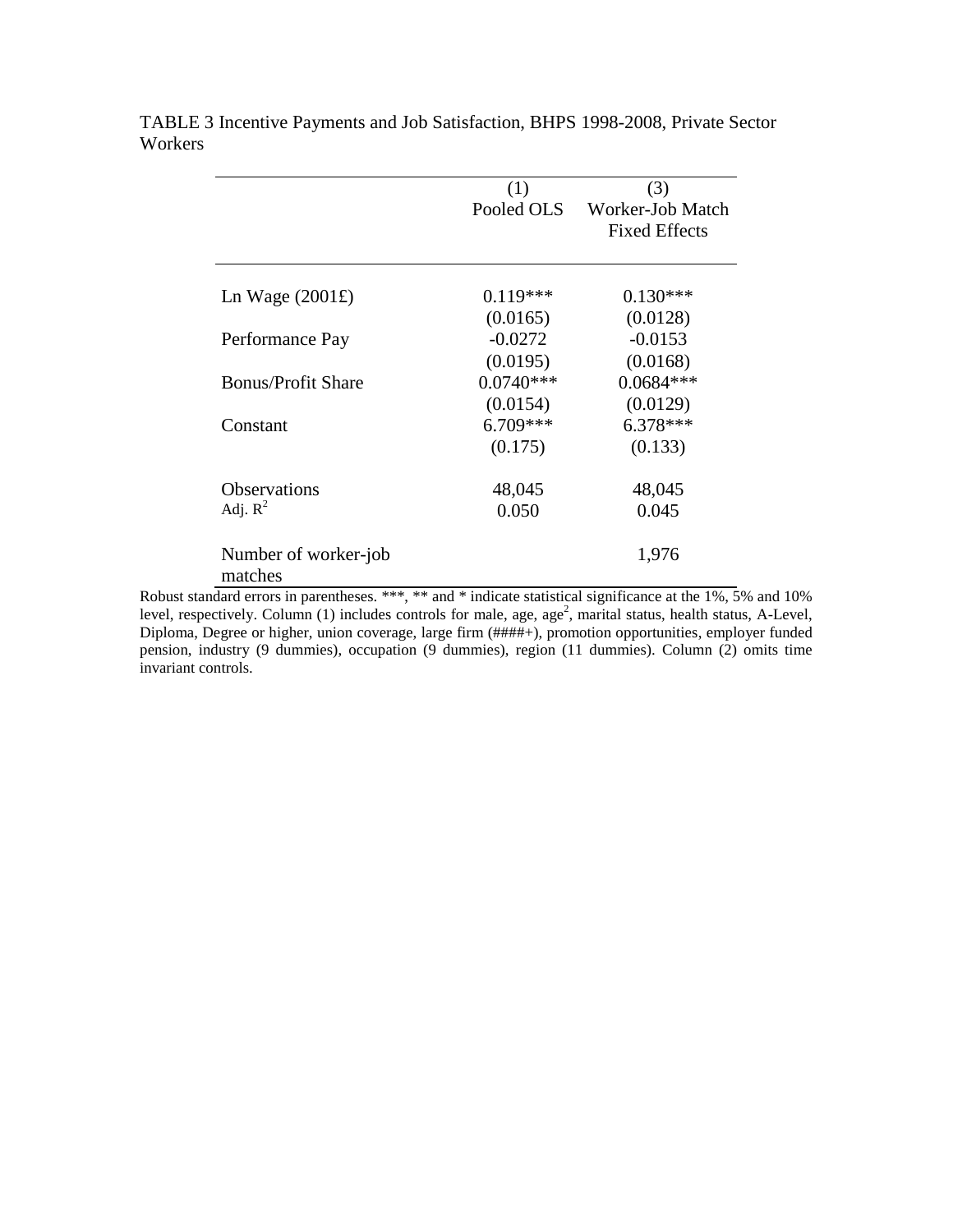|                                      | (1)         | (3)                  |
|--------------------------------------|-------------|----------------------|
|                                      | Pooled OLS  | Worker-Job Match     |
|                                      |             | <b>Fixed Effects</b> |
|                                      |             |                      |
| Ln Wage $(2001\text{\textsterling})$ | $0.119***$  | $0.130***$           |
|                                      | (0.0165)    | (0.0128)             |
| Performance Pay                      | $-0.0272$   | $-0.0153$            |
|                                      | (0.0195)    | (0.0168)             |
| <b>Bonus/Profit Share</b>            | $0.0740***$ | $0.0684***$          |
|                                      | (0.0154)    | (0.0129)             |
| Constant                             | $6.709***$  | $6.378***$           |
|                                      | (0.175)     | (0.133)              |
| <b>Observations</b>                  | 48,045      | 48,045               |
| Adj. $R^2$                           | 0.050       | 0.045                |
| Number of worker-job<br>matches      |             | 1,976                |

TABLE 3 Incentive Payments and Job Satisfaction, BHPS 1998-2008, Private Sector Workers

Robust standard errors in parentheses. \*\*\*, \*\* and \* indicate statistical significance at the 1%, 5% and 10% level, respectively. Column (1) includes controls for male, age, age<sup>2</sup>, marital status, health status, A-Level, Diploma, Degree or higher, union coverage, large firm (####+), promotion opportunities, employer funded pension, industry (9 dummies), occupation (9 dummies), region (11 dummies). Column (2) omits time invariant controls.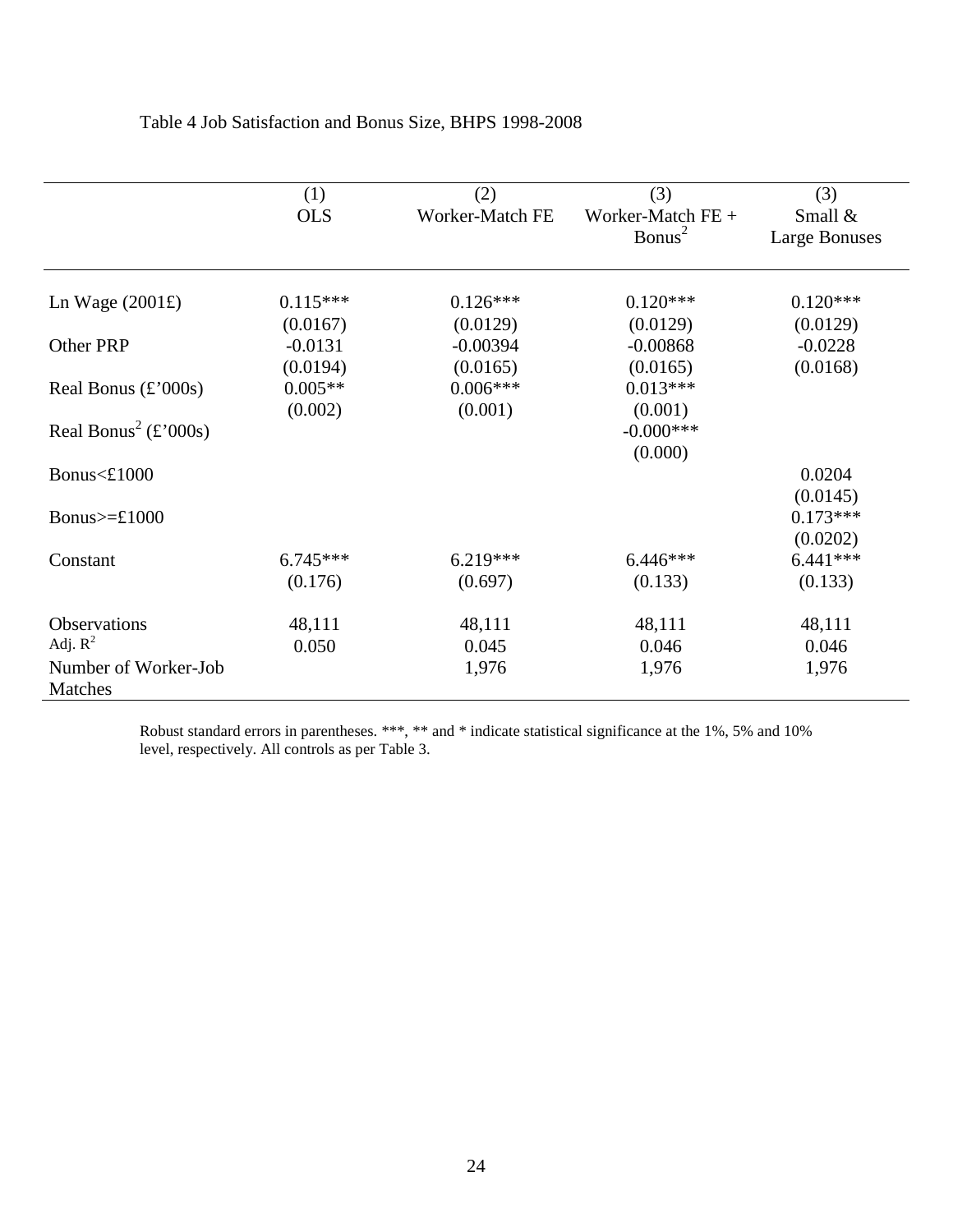|                                  | (1)        | (2)             | (3)                | (3)                  |
|----------------------------------|------------|-----------------|--------------------|----------------------|
|                                  | <b>OLS</b> | Worker-Match FE | Worker-Match FE +  | Small $&$            |
|                                  |            |                 | Bonus <sup>2</sup> | <b>Large Bonuses</b> |
|                                  |            |                 |                    |                      |
| Ln Wage $(2001\text{E})$         | $0.115***$ | $0.126***$      | $0.120***$         | $0.120***$           |
|                                  | (0.0167)   | (0.0129)        | (0.0129)           | (0.0129)             |
| Other PRP                        | $-0.0131$  | $-0.00394$      | $-0.00868$         | $-0.0228$            |
|                                  | (0.0194)   | (0.0165)        | (0.0165)           | (0.0168)             |
| Real Bonus $\text{£'}000s$       | $0.005**$  | $0.006***$      | $0.013***$         |                      |
|                                  | (0.002)    | (0.001)         | (0.001)            |                      |
| Real Bonus <sup>2</sup> (£'000s) |            |                 | $-0.000$ ***       |                      |
|                                  |            |                 | (0.000)            |                      |
| Bonus<£1000                      |            |                 |                    | 0.0204               |
|                                  |            |                 |                    | (0.0145)             |
| Bonus $>=$ £1000                 |            |                 |                    | $0.173***$           |
|                                  |            |                 |                    | (0.0202)             |
| Constant                         | $6.745***$ | $6.219***$      | $6.446***$         | $6.441***$           |
|                                  | (0.176)    | (0.697)         | (0.133)            | (0.133)              |
| Observations                     | 48,111     | 48,111          | 48,111             | 48,111               |
| Adj. $R^2$                       | 0.050      | 0.045           | 0.046              | 0.046                |
| Number of Worker-Job             |            | 1,976           | 1,976              | 1,976                |
| Matches                          |            |                 |                    |                      |

### Table 4 Job Satisfaction and Bonus Size, BHPS 1998-2008

Robust standard errors in parentheses. \*\*\*, \*\* and \* indicate statistical significance at the 1%, 5% and 10% level, respectively. All controls as per Table 3.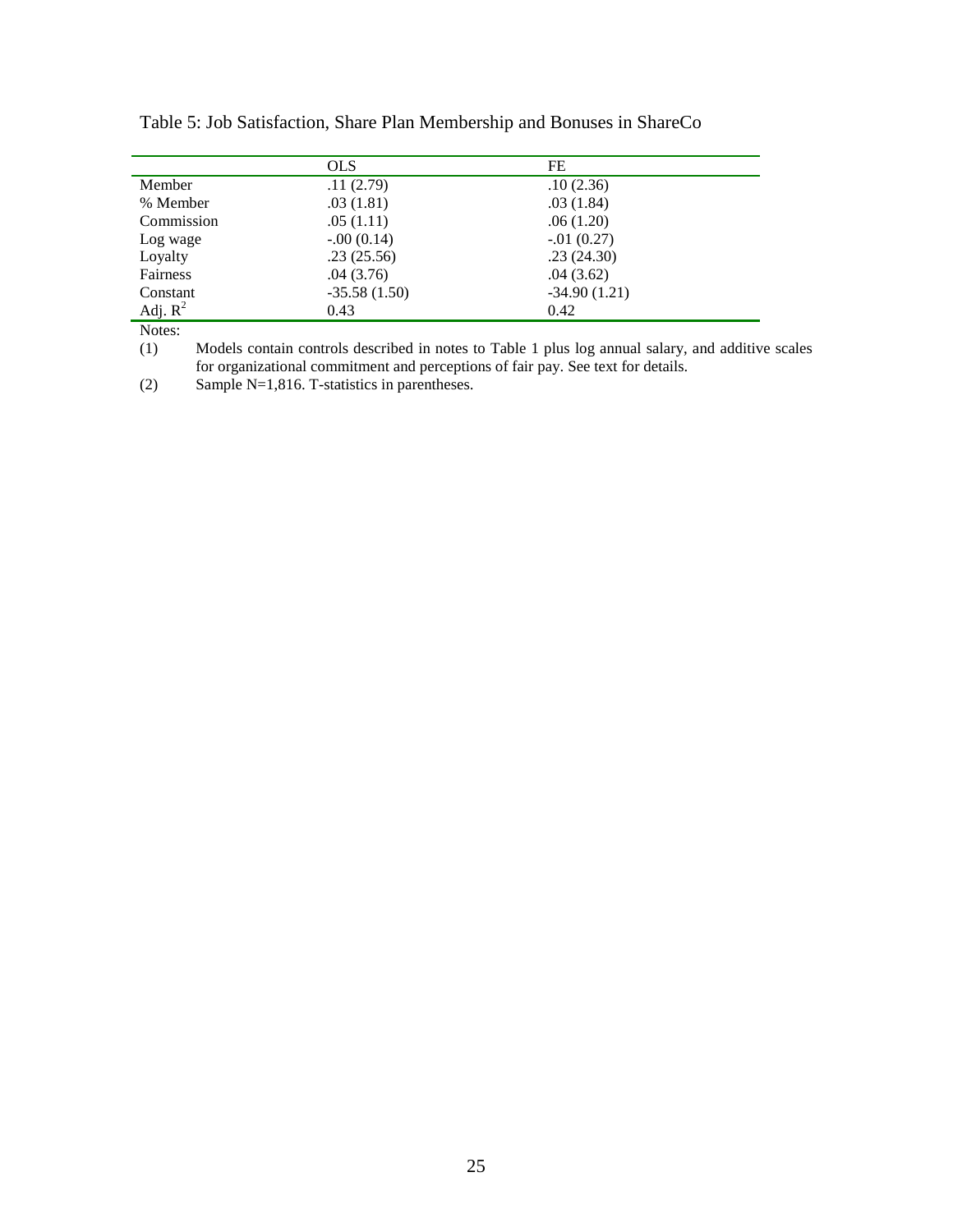|                  | <b>OLS</b>     | FE             |  |
|------------------|----------------|----------------|--|
| Member           | .11(2.79)      | .10(2.36)      |  |
| % Member         | .03(1.81)      | .03(1.84)      |  |
| Commission       | .05(1.11)      | .06(1.20)      |  |
| Log wage         | $-.00(0.14)$   | $-.01(0.27)$   |  |
| Loyalty          | .23(25.56)     | .23(24.30)     |  |
| Fairness         | .04(3.76)      | .04(3.62)      |  |
| Constant         | $-35.58(1.50)$ | $-34.90(1.21)$ |  |
| Adj. $R^2$       | 0.43           | 0.42           |  |
| $N$ otoc $\cdot$ |                |                |  |

Table 5: Job Satisfaction, Share Plan Membership and Bonuses in ShareCo

Notes:

(1) Models contain controls described in notes to Table 1 plus log annual salary, and additive scales for organizational commitment and perceptions of fair pay. See text for details.

(2) Sample N=1,816. T-statistics in parentheses.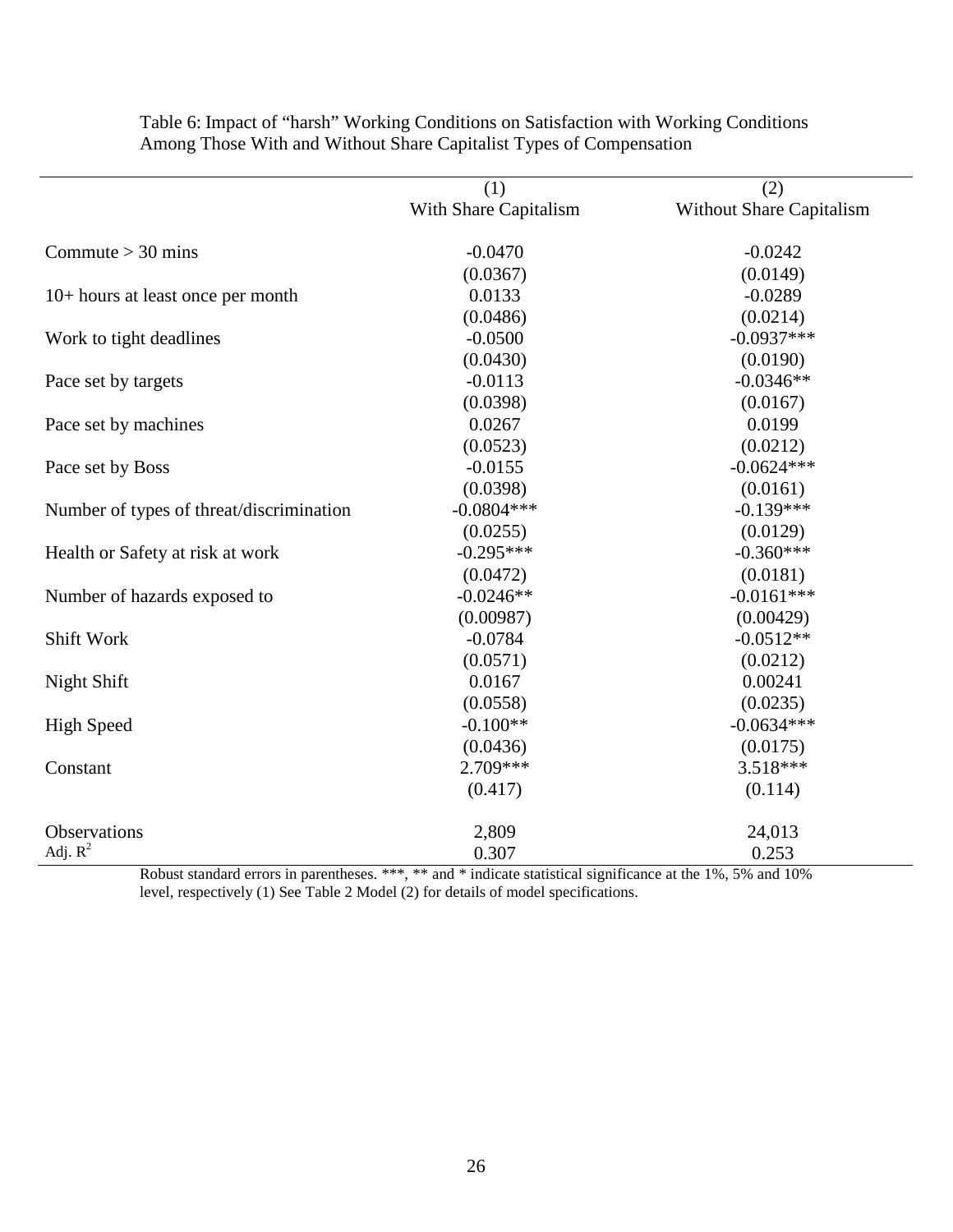|                                          | (1)                   | (2)                      |
|------------------------------------------|-----------------------|--------------------------|
|                                          | With Share Capitalism | Without Share Capitalism |
| Commute $>$ 30 mins                      | $-0.0470$             | $-0.0242$                |
|                                          | (0.0367)              | (0.0149)                 |
| 10+ hours at least once per month        | 0.0133                | $-0.0289$                |
|                                          | (0.0486)              | (0.0214)                 |
| Work to tight deadlines                  | $-0.0500$             | $-0.0937***$             |
|                                          | (0.0430)              | (0.0190)                 |
| Pace set by targets                      | $-0.0113$             | $-0.0346**$              |
|                                          | (0.0398)              | (0.0167)                 |
| Pace set by machines                     | 0.0267                | 0.0199                   |
|                                          | (0.0523)              | (0.0212)                 |
| Pace set by Boss                         | $-0.0155$             | $-0.0624***$             |
|                                          | (0.0398)              | (0.0161)                 |
| Number of types of threat/discrimination | $-0.0804***$          | $-0.139***$              |
|                                          | (0.0255)              | (0.0129)                 |
| Health or Safety at risk at work         | $-0.295***$           | $-0.360***$              |
|                                          | (0.0472)              | (0.0181)                 |
| Number of hazards exposed to             | $-0.0246**$           | $-0.0161***$             |
|                                          | (0.00987)             | (0.00429)                |
| Shift Work                               | $-0.0784$             | $-0.0512**$              |
|                                          | (0.0571)              | (0.0212)                 |
| Night Shift                              | 0.0167                | 0.00241                  |
|                                          | (0.0558)              | (0.0235)                 |
| <b>High Speed</b>                        | $-0.100**$            | $-0.0634***$             |
|                                          | (0.0436)              | (0.0175)                 |
| Constant                                 | $2.709***$            | $3.518***$               |
|                                          | (0.417)               | (0.114)                  |
| Observations                             | 2,809                 | 24,013                   |
| Adj. $R^2$                               | 0.307                 | 0.253                    |

Table 6: Impact of "harsh" Working Conditions on Satisfaction with Working Conditions Among Those With and Without Share Capitalist Types of Compensation

Robust standard errors in parentheses. \*\*\*, \*\* and \* indicate statistical significance at the 1%, 5% and 10% level, respectively (1) See Table 2 Model (2) for details of model specifications.